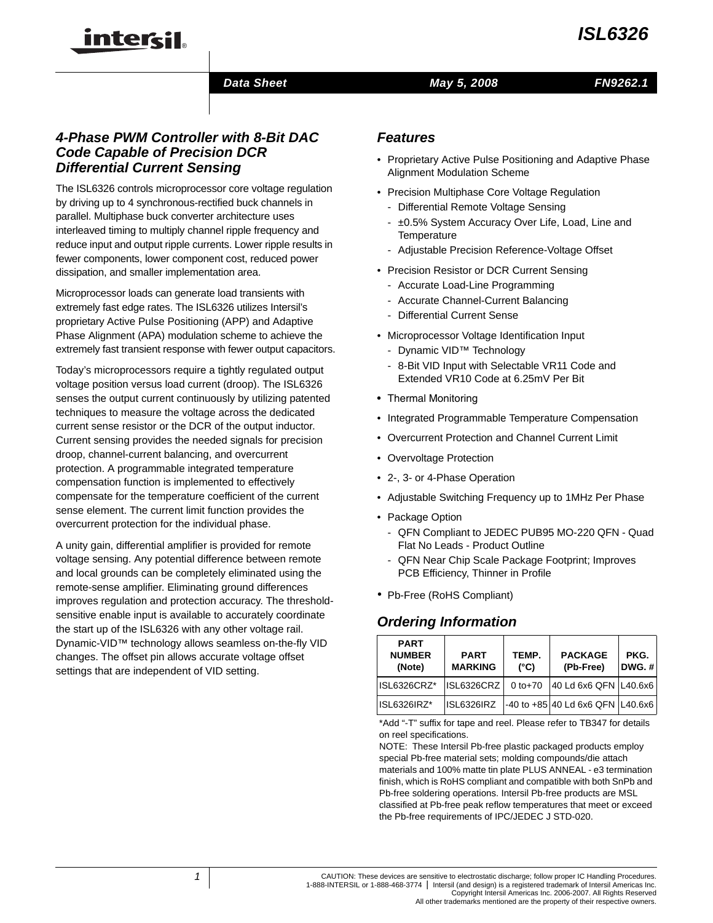# *ISL6326*



#### *Data Sheet May 5, 2008*

### *4-Phase PWM Controller with 8-Bit DAC Code Capable of Precision DCR Differential Current Sensing*

intersil

The ISL6326 controls microprocessor core voltage regulation by driving up to 4 synchronous-rectified buck channels in parallel. Multiphase buck converter architecture uses interleaved timing to multiply channel ripple frequency and reduce input and output ripple currents. Lower ripple results in fewer components, lower component cost, reduced power dissipation, and smaller implementation area.

Microprocessor loads can generate load transients with extremely fast edge rates. The ISL6326 utilizes Intersil's proprietary Active Pulse Positioning (APP) and Adaptive Phase Alignment (APA) modulation scheme to achieve the extremely fast transient response with fewer output capacitors.

Today's microprocessors require a tightly regulated output voltage position versus load current (droop). The ISL6326 senses the output current continuously by utilizing patented techniques to measure the voltage across the dedicated current sense resistor or the DCR of the output inductor. Current sensing provides the needed signals for precision droop, channel-current balancing, and overcurrent protection. A programmable integrated temperature compensation function is implemented to effectively compensate for the temperature coefficient of the current sense element. The current limit function provides the overcurrent protection for the individual phase.

A unity gain, differential amplifier is provided for remote voltage sensing. Any potential difference between remote and local grounds can be completely eliminated using the remote-sense amplifier. Eliminating ground differences improves regulation and protection accuracy. The thresholdsensitive enable input is available to accurately coordinate the start up of the ISL6326 with any other voltage rail. Dynamic-VID™ technology allows seamless on-the-fly VID changes. The offset pin allows accurate voltage offset settings that are independent of VID setting.

#### *Features*

- Proprietary Active Pulse Positioning and Adaptive Phase Alignment Modulation Scheme
- Precision Multiphase Core Voltage Regulation
	- Differential Remote Voltage Sensing
	- ±0.5% System Accuracy Over Life, Load, Line and **Temperature**
	- Adjustable Precision Reference-Voltage Offset
- Precision Resistor or DCR Current Sensing
	- Accurate Load-Line Programming
	- Accurate Channel-Current Balancing
	- Differential Current Sense
- Microprocessor Voltage Identification Input
	- Dynamic VID™ Technology
	- 8-Bit VID Input with Selectable VR11 Code and Extended VR10 Code at 6.25mV Per Bit
- Thermal Monitoring
- Integrated Programmable Temperature Compensation
- Overcurrent Protection and Channel Current Limit
- Overvoltage Protection
- 2-, 3- or 4-Phase Operation
- Adjustable Switching Frequency up to 1MHz Per Phase
- Package Option
	- QFN Compliant to JEDEC PUB95 MO-220 QFN Quad Flat No Leads - Product Outline
	- QFN Near Chip Scale Package Footprint; Improves PCB Efficiency, Thinner in Profile
- Pb-Free (RoHS Compliant)

# *Ordering Information*

| <b>PART</b><br><b>NUMBER</b><br>(Note) | <b>PART</b><br><b>MARKING</b> | TEMP.<br>$(^{\circ}C)$ | <b>PACKAGE</b><br>(Pb-Free)          | PKG.<br>$DWG.$ # |
|----------------------------------------|-------------------------------|------------------------|--------------------------------------|------------------|
| ISL6326CRZ*                            | ISL6326CRZ                    | $0 to + 70$            | 40 Ld 6x6 QFN L40.6x6                |                  |
| ISL6326IRZ*                            | <b>ISL6326IRZ</b>             |                        | $-40$ to $+85$ 40 Ld 6x6 QFN L40.6x6 |                  |

[\\*Add "-T" suffix for tape and reel. Please refer to TB347 for details](http://www.intersil.com/data/tb/tb347.pdf)  on reel specifications.

NOTE: These Intersil Pb-free plastic packaged products employ special Pb-free material sets; molding compounds/die attach materials and 100% matte tin plate PLUS ANNEAL - e3 termination finish, which is RoHS compliant and compatible with both SnPb and Pb-free soldering operations. Intersil Pb-free products are MSL classified at Pb-free peak reflow temperatures that meet or exceed the Pb-free requirements of IPC/JEDEC J STD-020.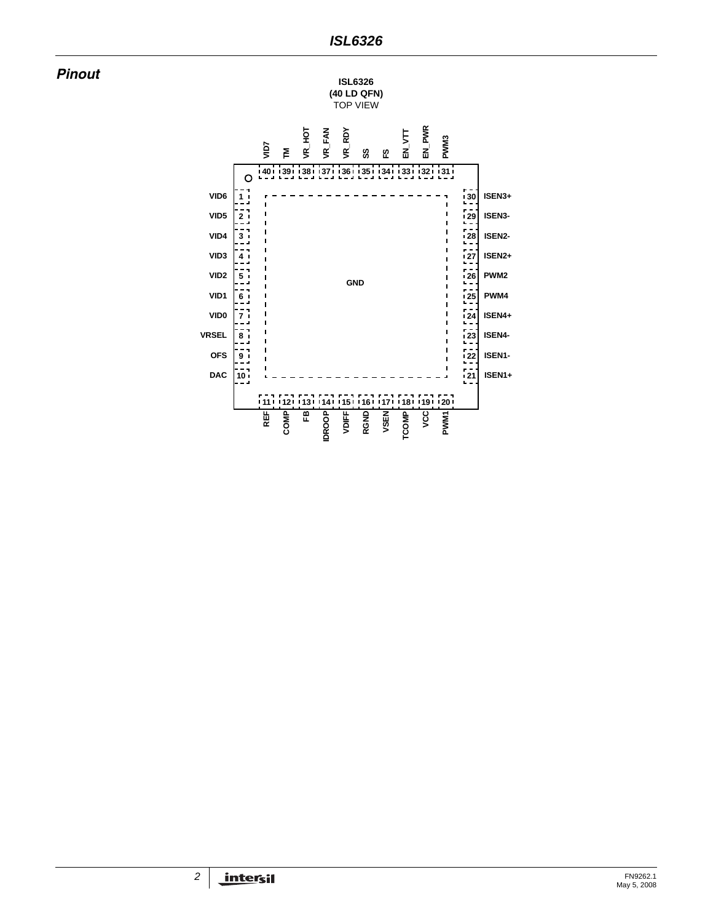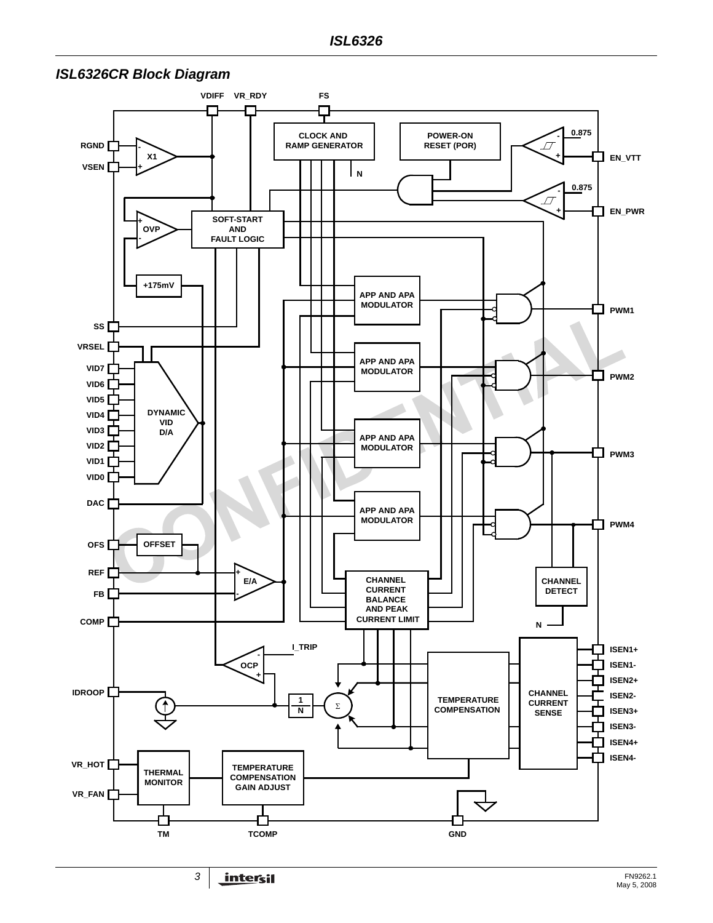

# <span id="page-2-0"></span>*ISL6326CR Block Diagram*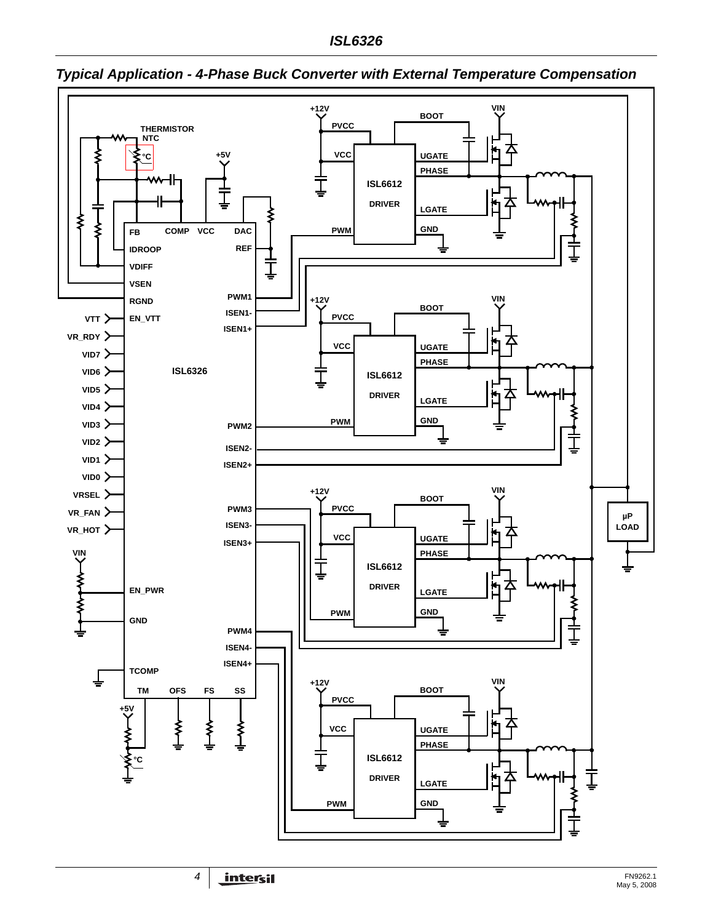

<span id="page-3-0"></span>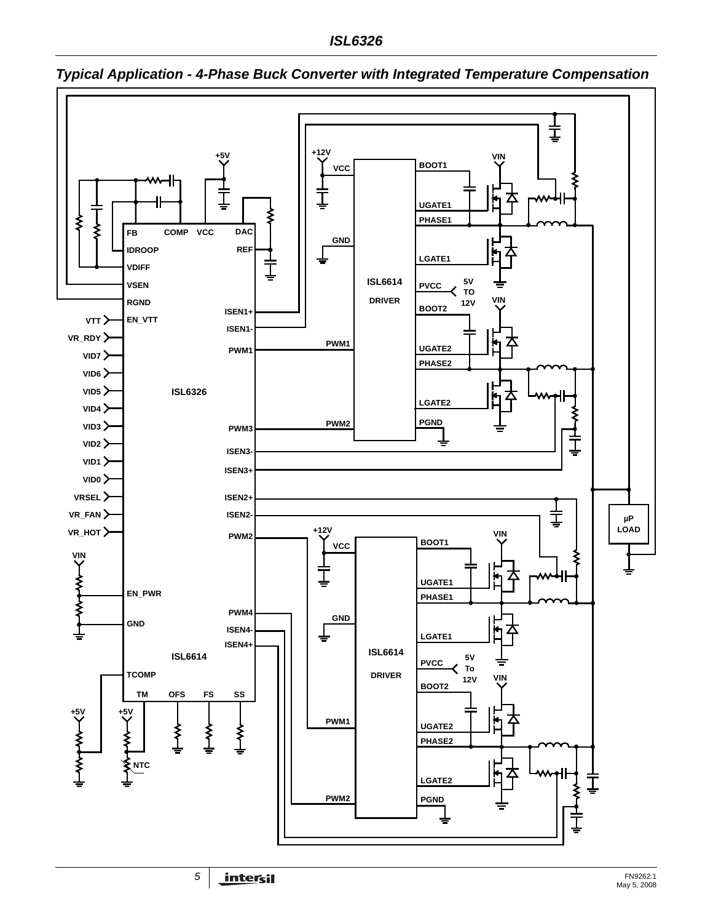

<span id="page-4-0"></span>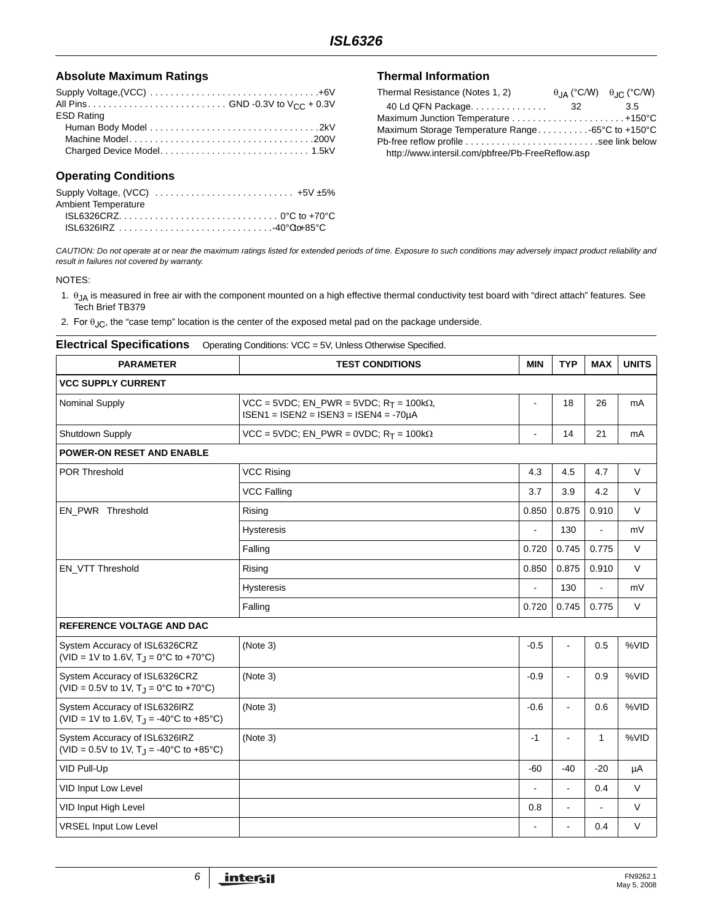#### **Absolute Maximum Ratings**

| <b>ESD Rating</b> |  |
|-------------------|--|
|                   |  |
|                   |  |
|                   |  |

#### **Operating Conditions**

| Supply Voltage, (VCC) $\ldots \ldots \ldots \ldots \ldots \ldots \ldots \ldots \ldots +5V \pm 5\%$ |  |
|----------------------------------------------------------------------------------------------------|--|
| Ambient Temperature                                                                                |  |
|                                                                                                    |  |
|                                                                                                    |  |

#### **Thermal Information**

| Thermal Resistance (Notes 1, 2)                   |      | $\theta$ , $\alpha$ (°C/W) $\theta$ , $\alpha$ (°C/W) |
|---------------------------------------------------|------|-------------------------------------------------------|
| 40 Ld QFN Package.                                | - 32 | 3.5                                                   |
|                                                   |      |                                                       |
| Maximum Storage Temperature Range -65°C to +150°C |      |                                                       |
| Pb-free reflow profile see link below             |      |                                                       |
| http://www.intersil.com/pbfree/Pb-FreeReflow.asp  |      |                                                       |

*CAUTION: Do not operate at or near the maximum ratings listed for extended periods of time. Exposure to such conditions may adversely impact product reliability and result in failures not covered by warranty.*

#### NOTES:

- <span id="page-5-0"></span>1.  $\theta_{JA}$  is measured in free air with the component mounted on a high effective thermal conductivity test board with "direct attach" features. See Tech Brief TB379
- <span id="page-5-1"></span>2. For  $\theta_{JC}$ , the "case temp" location is the center of the exposed metal pad on the package underside.

#### **Electrical Specifications** Operating Conditions: VCC = 5V, Unless Otherwise Specified.

<span id="page-5-2"></span>

| <b>PARAMETER</b>                                                                             | <b>TEST CONDITIONS</b>                                                                        | <b>MIN</b>     | <b>TYP</b>               | <b>MAX</b>     | <b>UNITS</b> |
|----------------------------------------------------------------------------------------------|-----------------------------------------------------------------------------------------------|----------------|--------------------------|----------------|--------------|
| <b>VCC SUPPLY CURRENT</b>                                                                    |                                                                                               |                |                          |                |              |
| Nominal Supply                                                                               | VCC = 5VDC; EN_PWR = 5VDC; $R_T$ = 100k $\Omega$ ,<br>$ISBN1 = ISBN2 = ISBN3 = ISBN4 = -70µA$ |                | 18                       | 26             | mA           |
| Shutdown Supply                                                                              | VCC = 5VDC; EN_PWR = 0VDC; $R_T$ = 100k $\Omega$                                              | $\overline{a}$ | 14                       | 21             | mA           |
| <b>POWER-ON RESET AND ENABLE</b>                                                             |                                                                                               |                |                          |                |              |
| <b>POR Threshold</b>                                                                         | <b>VCC Rising</b>                                                                             | 4.3            | 4.5                      | 4.7            | $\vee$       |
|                                                                                              | <b>VCC Falling</b>                                                                            | 3.7            | 3.9                      | 4.2            | $\vee$       |
| EN PWR Threshold                                                                             | Rising                                                                                        | 0.850          | 0.875                    | 0.910          | $\vee$       |
|                                                                                              | <b>Hysteresis</b>                                                                             |                | 130                      | $\blacksquare$ | mV           |
|                                                                                              | Falling                                                                                       | 0.720          | 0.745                    | 0.775          | $\vee$       |
| EN VTT Threshold                                                                             | Rising                                                                                        | 0.850          | 0.875                    | 0.910          | $\vee$       |
|                                                                                              | <b>Hysteresis</b>                                                                             |                | 130                      | ä,             | mV           |
|                                                                                              | Falling                                                                                       | 0.720          | 0.745                    | 0.775          | $\vee$       |
| <b>REFERENCE VOLTAGE AND DAC</b>                                                             |                                                                                               |                |                          |                |              |
| System Accuracy of ISL6326CRZ<br>(VID = 1V to 1.6V, $T_{\rm J}$ = 0°C to +70°C)              | (Note 3)                                                                                      | $-0.5$         | ÷,                       | 0.5            | %VID         |
| System Accuracy of ISL6326CRZ<br>(VID = 0.5V to 1V, $T_{\rm J}$ = 0°C to +70°C)              | (Note 3)                                                                                      | $-0.9$         | $\overline{\phantom{a}}$ | 0.9            | %VID         |
| System Accuracy of ISL6326IRZ<br>(VID = 1V to 1.6V, $T_J = -40^{\circ}C$ to $+85^{\circ}C$ ) | (Note 3)                                                                                      | $-0.6$         | $\overline{a}$           | 0.6            | %VID         |
| System Accuracy of ISL6326IRZ<br>(VID = 0.5V to 1V, $T_{\rm J}$ = -40°C to +85°C)            | (Note 3)                                                                                      | $-1$           | $\overline{a}$           | $\mathbf{1}$   | %VID         |
| VID Pull-Up                                                                                  |                                                                                               | $-60$          | $-40$                    | $-20$          | μA           |
| VID Input Low Level                                                                          |                                                                                               |                | ÷.                       | 0.4            | $\vee$       |
| VID Input High Level                                                                         |                                                                                               | 0.8            | $\overline{a}$           | ÷,             | $\vee$       |
| <b>VRSEL Input Low Level</b>                                                                 |                                                                                               | ÷              | $\overline{\phantom{a}}$ | 0.4            | V            |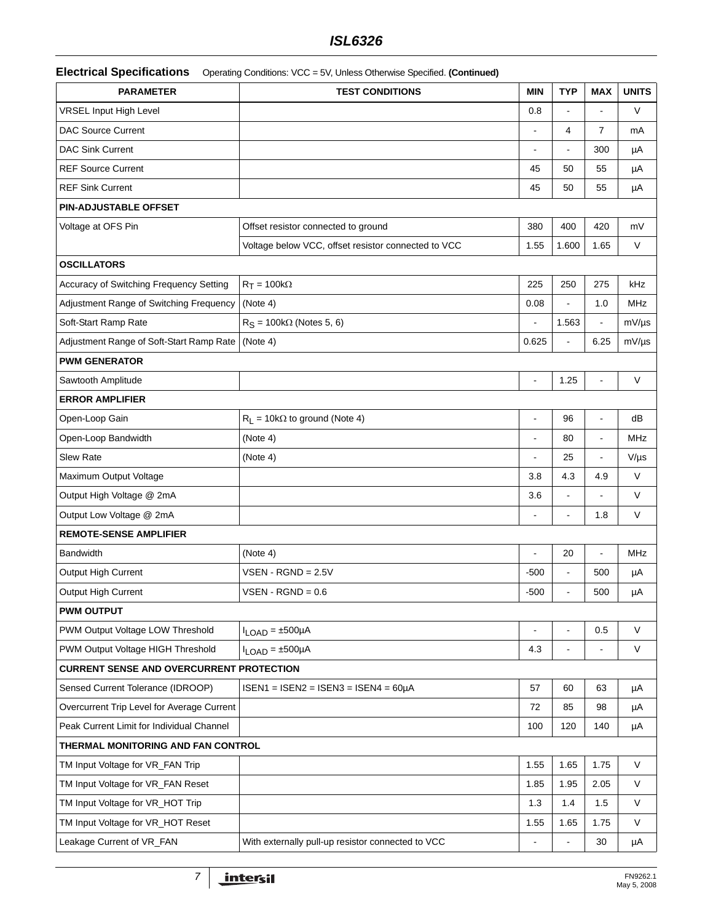# *ISL6326*

#### **Electrical Specifications** Operating Conditions: VCC = 5V, Unless Otherwise Specified. **(Continued)**

<span id="page-6-0"></span>

| <b>PARAMETER</b>                                | <b>TEST CONDITIONS</b>                              | <b>MIN</b>     | <b>TYP</b>               | <b>MAX</b>     | <b>UNITS</b> |
|-------------------------------------------------|-----------------------------------------------------|----------------|--------------------------|----------------|--------------|
| <b>VRSEL Input High Level</b>                   |                                                     | 0.8            |                          |                | V            |
| <b>DAC Source Current</b>                       |                                                     |                | 4                        | $\overline{7}$ | mA           |
| <b>DAC Sink Current</b>                         |                                                     |                |                          | 300            | μA           |
| <b>REF Source Current</b>                       |                                                     | 45             | 50                       | 55             | μA           |
| <b>REF Sink Current</b>                         |                                                     | 45             | 50                       | 55             | μA           |
| PIN-ADJUSTABLE OFFSET                           |                                                     |                |                          |                |              |
| Voltage at OFS Pin                              | Offset resistor connected to ground                 | 380            | 400                      | 420            | mV           |
|                                                 | Voltage below VCC, offset resistor connected to VCC | 1.55           | 1.600                    | 1.65           | V            |
| <b>OSCILLATORS</b>                              |                                                     |                |                          |                |              |
| Accuracy of Switching Frequency Setting         | $R_T = 100k\Omega$                                  | 225            | 250                      | 275            | kHz          |
| Adjustment Range of Switching Frequency         | (Note 4)                                            | 0.08           |                          | 1.0            | MHz          |
| Soft-Start Ramp Rate                            | $RS = 100k\Omega$ (Notes 5, 6)                      |                | 1.563                    | ä,             | $mV/\mu s$   |
| Adjustment Range of Soft-Start Ramp Rate        | (Note 4)                                            | 0.625          | $\overline{a}$           | 6.25           | $mV/\mu s$   |
| <b>PWM GENERATOR</b>                            |                                                     |                |                          |                |              |
| Sawtooth Amplitude                              |                                                     |                | 1.25                     |                | $\vee$       |
| <b>ERROR AMPLIFIER</b>                          |                                                     |                |                          |                |              |
| Open-Loop Gain                                  | $R_L$ = 10k $\Omega$ to ground (Note 4)             | ÷,             | 96                       | ä,             | dB           |
| Open-Loop Bandwidth                             | (Note 4)                                            |                | 80                       | ä,             | MHz          |
| Slew Rate                                       | (Note 4)                                            |                | 25                       |                | $V/\mu s$    |
| Maximum Output Voltage                          |                                                     | 3.8            | 4.3                      | 4.9            | $\vee$       |
| Output High Voltage @ 2mA                       |                                                     | 3.6            |                          |                | $\vee$       |
| Output Low Voltage @ 2mA                        |                                                     |                | ä,                       | 1.8            | V            |
| <b>REMOTE-SENSE AMPLIFIER</b>                   |                                                     |                |                          |                |              |
| <b>Bandwidth</b>                                | (Note 4)                                            |                | 20                       |                | MHz          |
| Output High Current                             | $VSEN$ - RGND = 2.5V                                | $-500$         | $\overline{\phantom{a}}$ | 500            | μA           |
| Output High Current                             | $VSEN$ - RGND = 0.6                                 | $-500$         |                          | 500            | μA           |
| <b>PWM OUTPUT</b>                               |                                                     |                |                          |                |              |
| PWM Output Voltage LOW Threshold                | $I_{LOAD} = \pm 500 \mu A$                          |                |                          | 0.5            | $\vee$       |
| PWM Output Voltage HIGH Threshold               | $I_{LOAD} = \pm 500 \mu A$                          | 4.3            | ä,                       |                | V            |
| <b>CURRENT SENSE AND OVERCURRENT PROTECTION</b> |                                                     |                |                          |                |              |
| Sensed Current Tolerance (IDROOP)               | $ISBN1 = ISBN2 = ISBN3 = ISBN4 = 60\muA$            | 57             | 60                       | 63             | μA           |
| Overcurrent Trip Level for Average Current      |                                                     | 72             | 85                       | 98             | μA           |
| Peak Current Limit for Individual Channel       |                                                     | 100            | 120                      | 140            | μA           |
| THERMAL MONITORING AND FAN CONTROL              |                                                     |                |                          |                |              |
| TM Input Voltage for VR_FAN Trip                |                                                     | 1.55           | 1.65                     | 1.75           | $\vee$       |
| TM Input Voltage for VR_FAN Reset               |                                                     | 1.85           | 1.95                     | 2.05           | V            |
| TM Input Voltage for VR_HOT Trip                |                                                     | 1.3            | 1.4                      | 1.5            | $\vee$       |
| TM Input Voltage for VR_HOT Reset               |                                                     | 1.55           | 1.65                     | 1.75           | V            |
| Leakage Current of VR_FAN                       | With externally pull-up resistor connected to VCC   | $\blacksquare$ |                          | 30             | μA           |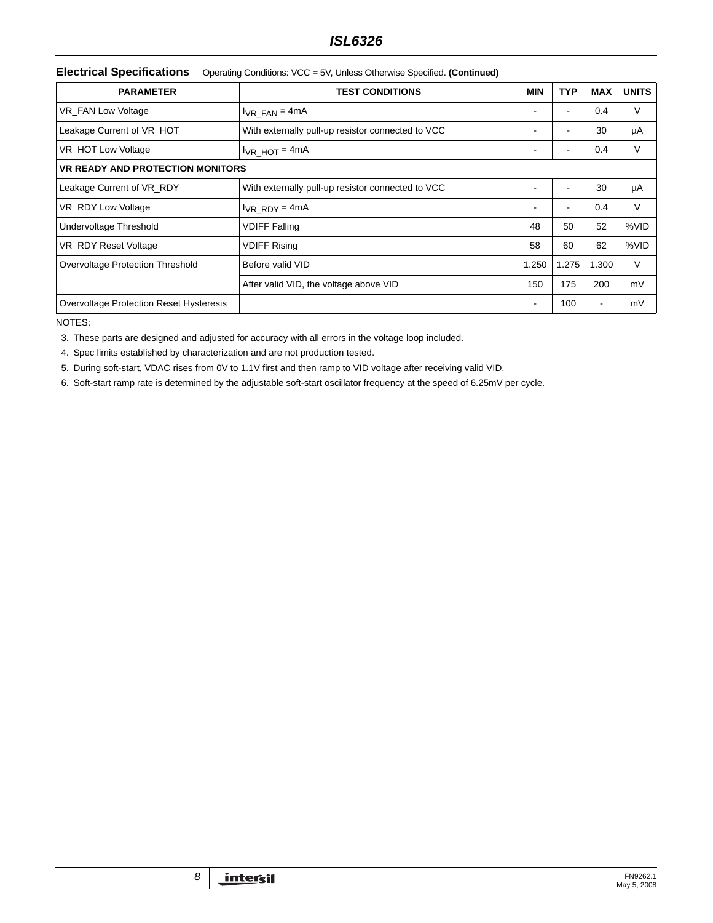#### **Electrical Specifications** Operating Conditions: VCC = 5V, Unless Otherwise Specified. **(Continued)**

| <b>PARAMETER</b>                               | <b>TEST CONDITIONS</b>                            | <b>MIN</b>               | <b>TYP</b>               | <b>MAX</b> | <b>UNITS</b> |
|------------------------------------------------|---------------------------------------------------|--------------------------|--------------------------|------------|--------------|
| VR_FAN Low Voltage                             | $I_{VR\_FAN} = 4mA$                               |                          |                          | 0.4        | V            |
| Leakage Current of VR_HOT                      | With externally pull-up resistor connected to VCC |                          |                          | 30         | μA           |
| VR HOT Low Voltage                             | $I_{VR\_HOT} = 4mA$                               |                          | -                        | 0.4        | V            |
| <b>VR READY AND PROTECTION MONITORS</b>        |                                                   |                          |                          |            |              |
| Leakage Current of VR_RDY                      | With externally pull-up resistor connected to VCC |                          | $\overline{\phantom{0}}$ | 30         | μA           |
| VR RDY Low Voltage                             | $I_{VR\_RDY} = 4mA$                               | $\blacksquare$           |                          | 0.4        | V            |
| Undervoltage Threshold                         | <b>VDIFF Falling</b>                              | 48                       | 50                       | 52         | %VID         |
| VR RDY Reset Voltage                           | <b>VDIFF Rising</b>                               | 58                       | 60                       | 62         | %VID         |
| Overvoltage Protection Threshold               | Before valid VID                                  | 1.250                    | 1.275                    | 1.300      | V            |
|                                                | After valid VID, the voltage above VID            | 150                      | 175                      | 200        | mV           |
| <b>Overvoltage Protection Reset Hysteresis</b> |                                                   | $\overline{\phantom{a}}$ | 100                      | ۰.         | mV           |

NOTES:

<span id="page-7-0"></span>3. These parts are designed and adjusted for accuracy with all errors in the voltage loop included.

<span id="page-7-1"></span>4. Spec limits established by characterization and are not production tested.

<span id="page-7-2"></span>5. During soft-start, VDAC rises from 0V to 1.1V first and then ramp to VID voltage after receiving valid VID.

<span id="page-7-3"></span>6. Soft-start ramp rate is determined by the adjustable soft-start oscillator frequency at the speed of 6.25mV per cycle.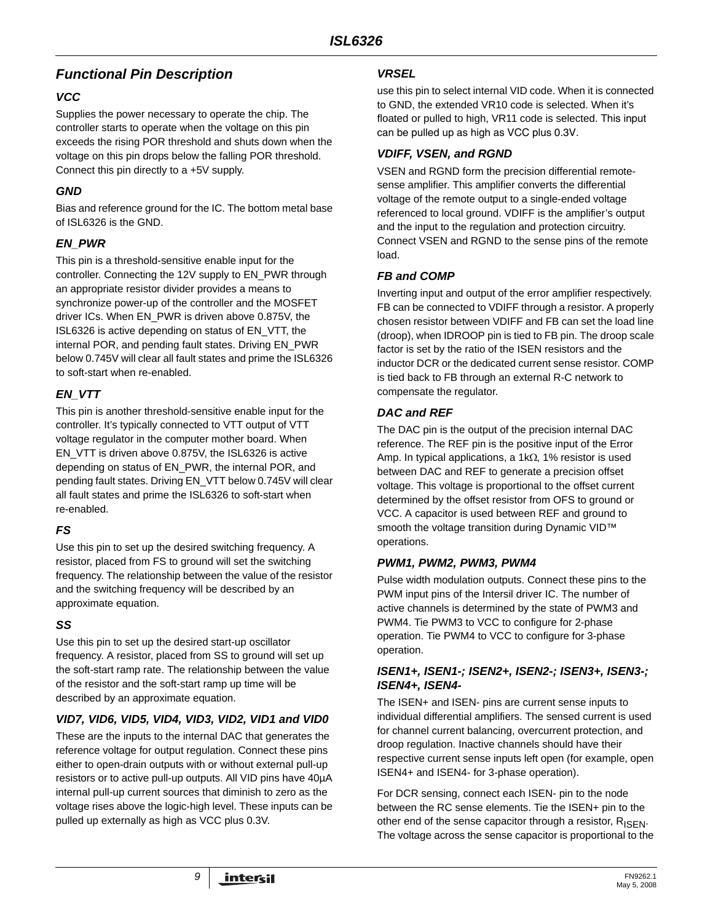# *Functional Pin Description*

#### *VCC*

Supplies the power necessary to operate the chip. The controller starts to operate when the voltage on this pin exceeds the rising POR threshold and shuts down when the voltage on this pin drops below the falling POR threshold. Connect this pin directly to a +5V supply.

# *GND*

Bias and reference ground for the IC. The bottom metal base of ISL6326 is the GND.

### *EN\_PWR*

This pin is a threshold-sensitive enable input for the controller. Connecting the 12V supply to EN\_PWR through an appropriate resistor divider provides a means to synchronize power-up of the controller and the MOSFET driver ICs. When EN\_PWR is driven above 0.875V, the ISL6326 is active depending on status of EN\_VTT, the internal POR, and pending fault states. Driving EN\_PWR below 0.745V will clear all fault states and prime the ISL6326 to soft-start when re-enabled.

# *EN\_VTT*

This pin is another threshold-sensitive enable input for the controller. It's typically connected to VTT output of VTT voltage regulator in the computer mother board. When EN\_VTT is driven above 0.875V, the ISL6326 is active depending on status of EN\_PWR, the internal POR, and pending fault states. Driving EN\_VTT below 0.745V will clear all fault states and prime the ISL6326 to soft-start when re-enabled.

### *FS*

Use this pin to set up the desired switching frequency. A resistor, placed from FS to ground will set the switching frequency. The relationship between the value of the resistor and the switching frequency will be described by an approximate equation.

### *SS*

Use this pin to set up the desired start-up oscillator frequency. A resistor, placed from SS to ground will set up the soft-start ramp rate. The relationship between the value of the resistor and the soft-start ramp up time will be described by an approximate equation.

# *VID7, VID6, VID5, VID4, VID3, VID2, VID1 and VID0*

These are the inputs to the internal DAC that generates the reference voltage for output regulation. Connect these pins either to open-drain outputs with or without external pull-up resistors or to active pull-up outputs. All VID pins have 40µA internal pull-up current sources that diminish to zero as the voltage rises above the logic-high level. These inputs can be pulled up externally as high as VCC plus 0.3V.

#### *VRSEL*

use this pin to select internal VID code. When it is connected to GND, the extended VR10 code is selected. When it's floated or pulled to high, VR11 code is selected. This input can be pulled up as high as VCC plus 0.3V.

#### *VDIFF, VSEN, and RGND*

VSEN and RGND form the precision differential remotesense amplifier. This amplifier converts the differential voltage of the remote output to a single-ended voltage referenced to local ground. VDIFF is the amplifier's output and the input to the regulation and protection circuitry. Connect VSEN and RGND to the sense pins of the remote load.

### *FB and COMP*

Inverting input and output of the error amplifier respectively. FB can be connected to VDIFF through a resistor. A properly chosen resistor between VDIFF and FB can set the load line (droop), when IDROOP pin is tied to FB pin. The droop scale factor is set by the ratio of the ISEN resistors and the inductor DCR or the dedicated current sense resistor. COMP is tied back to FB through an external R-C network to compensate the regulator.

### *DAC and REF*

The DAC pin is the output of the precision internal DAC reference. The REF pin is the positive input of the Error Amp. In typical applications, a 1kΩ, 1% resistor is used between DAC and REF to generate a precision offset voltage. This voltage is proportional to the offset current determined by the offset resistor from OFS to ground or VCC. A capacitor is used between REF and ground to smooth the voltage transition during Dynamic VID™ operations.

### *PWM1, PWM2, PWM3, PWM4*

Pulse width modulation outputs. Connect these pins to the PWM input pins of the Intersil driver IC. The number of active channels is determined by the state of PWM3 and PWM4. Tie PWM3 to VCC to configure for 2-phase operation. Tie PWM4 to VCC to configure for 3-phase operation.

#### *ISEN1+, ISEN1-; ISEN2+, ISEN2-; ISEN3+, ISEN3-; ISEN4+, ISEN4-*

The ISEN+ and ISEN- pins are current sense inputs to individual differential amplifiers. The sensed current is used for channel current balancing, overcurrent protection, and droop regulation. Inactive channels should have their respective current sense inputs left open (for example, open ISEN4+ and ISEN4- for 3-phase operation).

For DCR sensing, connect each ISEN- pin to the node between the RC sense elements. Tie the ISEN+ pin to the other end of the sense capacitor through a resistor,  $R_{\text{ISFN}}$ . The voltage across the sense capacitor is proportional to the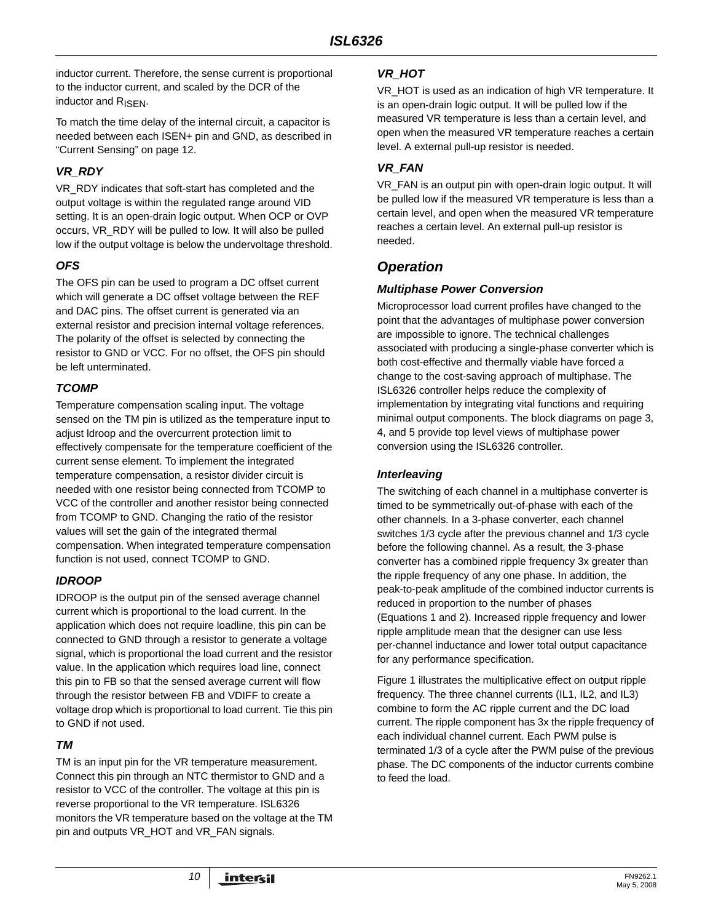inductor current. Therefore, the sense current is proportional to the inductor current, and scaled by the DCR of the inductor and RISEN.

To match the time delay of the internal circuit, a capacitor is needed between each ISEN+ pin and GND, as described in "Current Sensing" on page 12.

# *VR\_RDY*

VR\_RDY indicates that soft-start has completed and the output voltage is within the regulated range around VID setting. It is an open-drain logic output. When OCP or OVP occurs, VR\_RDY will be pulled to low. It will also be pulled low if the output voltage is below the undervoltage threshold.

### *OFS*

The OFS pin can be used to program a DC offset current which will generate a DC offset voltage between the REF and DAC pins. The offset current is generated via an external resistor and precision internal voltage references. The polarity of the offset is selected by connecting the resistor to GND or VCC. For no offset, the OFS pin should be left unterminated.

# *TCOMP*

Temperature compensation scaling input. The voltage sensed on the TM pin is utilized as the temperature input to adjust ldroop and the overcurrent protection limit to effectively compensate for the temperature coefficient of the current sense element. To implement the integrated temperature compensation, a resistor divider circuit is needed with one resistor being connected from TCOMP to VCC of the controller and another resistor being connected from TCOMP to GND. Changing the ratio of the resistor values will set the gain of the integrated thermal compensation. When integrated temperature compensation function is not used, connect TCOMP to GND.

# *IDROOP*

IDROOP is the output pin of the sensed average channel current which is proportional to the load current. In the application which does not require loadline, this pin can be connected to GND through a resistor to generate a voltage signal, which is proportional the load current and the resistor value. In the application which requires load line, connect this pin to FB so that the sensed average current will flow through the resistor between FB and VDIFF to create a voltage drop which is proportional to load current. Tie this pin to GND if not used.

### *TM*

TM is an input pin for the VR temperature measurement. Connect this pin through an NTC thermistor to GND and a resistor to VCC of the controller. The voltage at this pin is reverse proportional to the VR temperature. ISL6326 monitors the VR temperature based on the voltage at the TM pin and outputs VR\_HOT and VR\_FAN signals.

## *VR\_HOT*

VR\_HOT is used as an indication of high VR temperature. It is an open-drain logic output. It will be pulled low if the measured VR temperature is less than a certain level, and open when the measured VR temperature reaches a certain level. A external pull-up resistor is needed.

# *VR\_FAN*

VR\_FAN is an output pin with open-drain logic output. It will be pulled low if the measured VR temperature is less than a certain level, and open when the measured VR temperature reaches a certain level. An external pull-up resistor is needed.

# *Operation*

#### *Multiphase Power Conversion*

Microprocessor load current profiles have changed to the point that the advantages of multiphase power conversion are impossible to ignore. The technical challenges associated with producing a single-phase converter which is both cost-effective and thermally viable have forced a change to the cost-saving approach of multiphase. The ISL6326 controller helps reduce the complexity of implementation by integrating vital functions and requiring minimal output components. The block diagrams on [page 3](#page-2-0), [4,](#page-3-0) and [5](#page-4-0) provide top level views of multiphase power conversion using the ISL6326 controller.

### *Interleaving*

The switching of each channel in a multiphase converter is timed to be symmetrically out-of-phase with each of the other channels. In a 3-phase converter, each channel switches 1/3 cycle after the previous channel and 1/3 cycle before the following channel. As a result, the 3-phase converter has a combined ripple frequency 3x greater than the ripple frequency of any one phase. In addition, the peak-to-peak amplitude of the combined inductor currents is reduced in proportion to the number of phases (Equations 1 and 2). Increased ripple frequency and lower ripple amplitude mean that the designer can use less per-channel inductance and lower total output capacitance for any performance specification.

Figure 1 illustrates the multiplicative effect on output ripple frequency. The three channel currents (IL1, IL2, and IL3) combine to form the AC ripple current and the DC load current. The ripple component has 3x the ripple frequency of each individual channel current. Each PWM pulse is terminated 1/3 of a cycle after the PWM pulse of the previous phase. The DC components of the inductor currents combine to feed the load.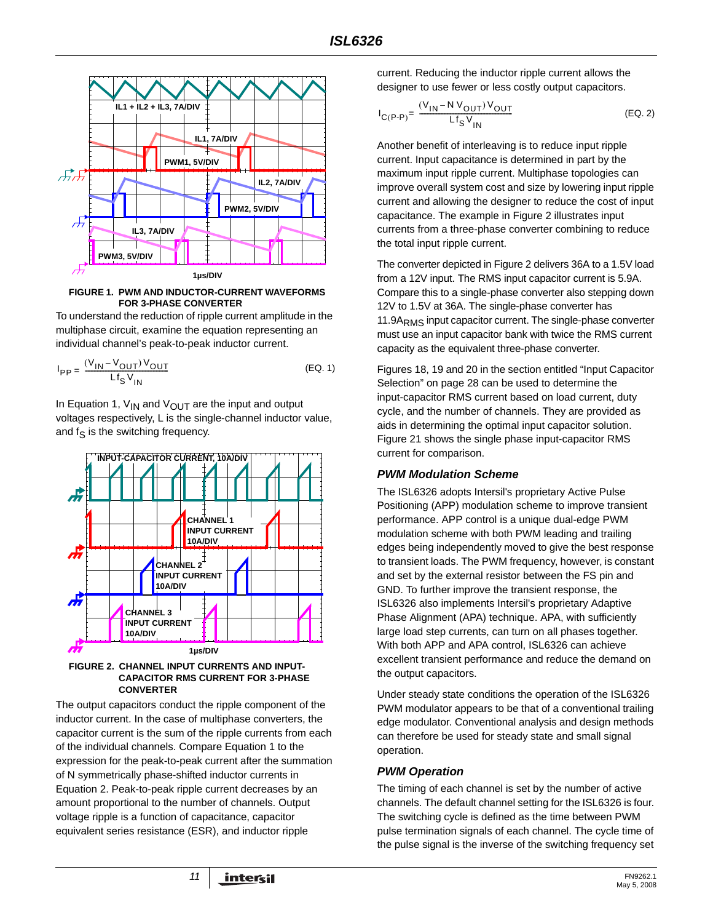

**FIGURE 1. PWM AND INDUCTOR-CURRENT WAVEFORMS FOR 3-PHASE CONVERTER**

To understand the reduction of ripple current amplitude in the multiphase circuit, examine the equation representing an individual channel's peak-to-peak inductor current.

$$
I_{PP} = \frac{(V_{IN} - V_{OUT})V_{OUT}}{Lf_S V_{IN}}
$$
 (EQ. 1)

In Equation 1,  $V_{IN}$  and  $V_{OUT}$  are the input and output voltages respectively, L is the single-channel inductor value, and  $f_S$  is the switching frequency.





The output capacitors conduct the ripple component of the inductor current. In the case of multiphase converters, the capacitor current is the sum of the ripple currents from each of the individual channels. Compare Equation 1 to the expression for the peak-to-peak current after the summation of N symmetrically phase-shifted inductor currents in Equation 2. Peak-to-peak ripple current decreases by an amount proportional to the number of channels. Output voltage ripple is a function of capacitance, capacitor equivalent series resistance (ESR), and inductor ripple

current. Reducing the inductor ripple current allows the designer to use fewer or less costly output capacitors.

$$
I_{C(P-P)} = \frac{(V_{IN} - NV_{OUT})V_{OUT}}{Lf_S V_{IN}}
$$
 (EQ. 2)

Another benefit of interleaving is to reduce input ripple current. Input capacitance is determined in part by the maximum input ripple current. Multiphase topologies can improve overall system cost and size by lowering input ripple current and allowing the designer to reduce the cost of input capacitance. The example in Figure 2 illustrates input currents from a three-phase converter combining to reduce the total input ripple current.

The converter depicted in Figure 2 delivers 36A to a 1.5V load from a 12V input. The RMS input capacitor current is 5.9A. Compare this to a single-phase converter also stepping down 12V to 1.5V at 36A. The single-phase converter has 11.9ARMS input capacitor current. The single-phase converter must use an input capacitor bank with twice the RMS current capacity as the equivalent three-phase converter.

Figures 18, 19 and 20 in the section entitled "Input Capacitor Selection" on page 28 can be used to determine the input-capacitor RMS current based on load current, duty cycle, and the number of channels. They are provided as aids in determining the optimal input capacitor solution. Figure 21 shows the single phase input-capacitor RMS current for comparison.

#### *PWM Modulation Scheme*

The ISL6326 adopts Intersil's proprietary Active Pulse Positioning (APP) modulation scheme to improve transient performance. APP control is a unique dual-edge PWM modulation scheme with both PWM leading and trailing edges being independently moved to give the best response to transient loads. The PWM frequency, however, is constant and set by the external resistor between the FS pin and GND. To further improve the transient response, the ISL6326 also implements Intersil's proprietary Adaptive Phase Alignment (APA) technique. APA, with sufficiently large load step currents, can turn on all phases together. With both APP and APA control, ISL6326 can achieve excellent transient performance and reduce the demand on the output capacitors.

Under steady state conditions the operation of the ISL6326 PWM modulator appears to be that of a conventional trailing edge modulator. Conventional analysis and design methods can therefore be used for steady state and small signal operation.

### *PWM Operation*

The timing of each channel is set by the number of active channels. The default channel setting for the ISL6326 is four. The switching cycle is defined as the time between PWM pulse termination signals of each channel. The cycle time of the pulse signal is the inverse of the switching frequency set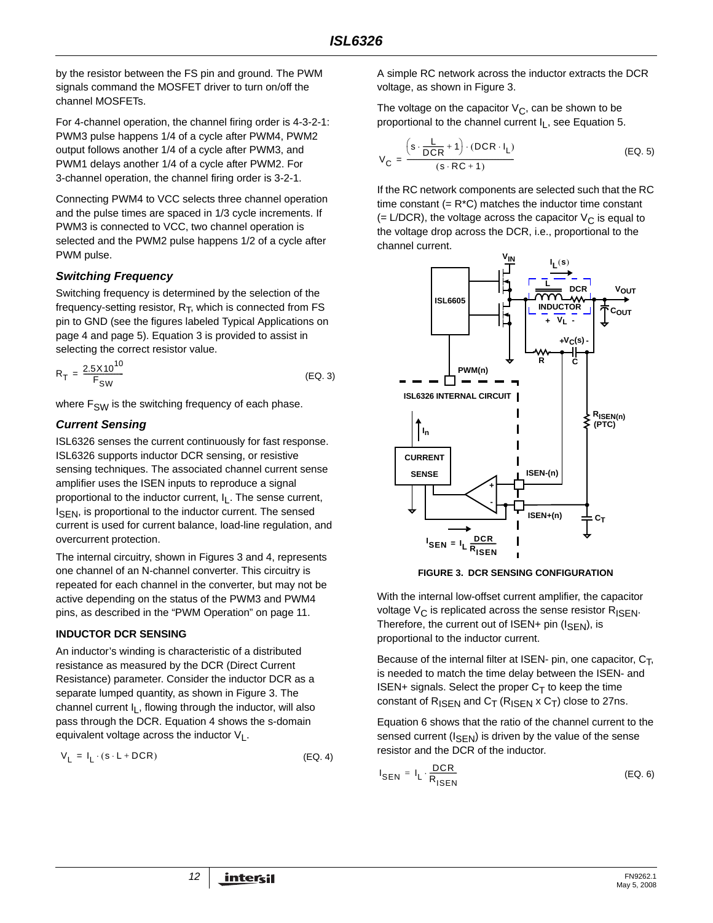by the resistor between the FS pin and ground. The PWM signals command the MOSFET driver to turn on/off the channel MOSFETs.

For 4-channel operation, the channel firing order is 4-3-2-1: PWM3 pulse happens 1/4 of a cycle after PWM4, PWM2 output follows another 1/4 of a cycle after PWM3, and PWM1 delays another 1/4 of a cycle after PWM2. For 3-channel operation, the channel firing order is 3-2-1.

Connecting PWM4 to VCC selects three channel operation and the pulse times are spaced in 1/3 cycle increments. If PWM3 is connected to VCC, two channel operation is selected and the PWM2 pulse happens 1/2 of a cycle after PWM pulse.

#### *Switching Frequency*

Switching frequency is determined by the selection of the frequency-setting resistor,  $R_T$ , which is connected from FS pin to GND (see the figures labeled Typical Applications on [page 4](#page-3-0) and [page 5\)](#page-4-0). Equation [3](#page-11-0) is provided to assist in selecting the correct resistor value.

$$
R_T = \frac{2.5 \times 10^{10}}{F_{SW}} \tag{Eq. 3}
$$

where  $F_{SW}$  is the switching frequency of each phase.

#### *Current Sensing*

ISL6326 senses the current continuously for fast response. ISL6326 supports inductor DCR sensing, or resistive sensing techniques. The associated channel current sense amplifier uses the ISEN inputs to reproduce a signal proportional to the inductor current,  $I_L$ . The sense current,  $I_{\text{SFN}}$ , is proportional to the inductor current. The sensed current is used for current balance, load-line regulation, and overcurrent protection.

The internal circuitry, shown in Figures 3 and 4, represents one channel of an N-channel converter. This circuitry is repeated for each channel in the converter, but may not be active depending on the status of the PWM3 and PWM4 pins, as described in the "PWM Operation" on page 11.

### **INDUCTOR DCR SENSING**

An inductor's winding is characteristic of a distributed resistance as measured by the DCR (Direct Current Resistance) parameter. Consider the inductor DCR as a separate lumped quantity, as shown in Figure 3. The channel current I<sub>L</sub>, flowing through the inductor, will also pass through the DCR. Equation 4 shows the s-domain equivalent voltage across the inductor  $V_1$ .

$$
V_{L} = I_{L} \cdot (s \cdot L + DCR) \tag{Eq. 4}
$$

A simple RC network across the inductor extracts the DCR voltage, as shown in Figure 3.

The voltage on the capacitor  $V_C$ , can be shown to be proportional to the channel current  $I<sub>L</sub>$ , see Equation 5.

$$
V_C = \frac{\left(s \cdot \frac{L}{DCR} + 1\right) \cdot (DCR \cdot I_L)}{(s \cdot RC + 1)}
$$
 (EQ. 5)

If the RC network components are selected such that the RC time constant  $(= R<sup>*</sup>C)$  matches the inductor time constant (= L/DCR), the voltage across the capacitor  $V_{\rm C}$  is equal to the voltage drop across the DCR, i.e., proportional to the channel current.

<span id="page-11-0"></span>



With the internal low-offset current amplifier, the capacitor voltage  $V_C$  is replicated across the sense resistor  $R_{ISEN}$ . Therefore, the current out of ISEN+ pin  $(I_{\text{SEN}})$ , is proportional to the inductor current.

Because of the internal filter at ISEN- pin, one capacitor,  $C_T$ , is needed to match the time delay between the ISEN- and ISEN+ signals. Select the proper  $C_T$  to keep the time constant of  $R_{\text{ISEN}}$  and  $C_{\text{T}}$  ( $R_{\text{ISEN}}$  x  $C_{\text{T}}$ ) close to 27ns.

Equation 6 shows that the ratio of the channel current to the sensed current ( $I_{\text{SEN}}$ ) is driven by the value of the sense resistor and the DCR of the inductor.

$$
I_{\text{SEN}} = I_{\text{L}} \cdot \frac{\text{DCR}}{R_{\text{ISEN}}} \tag{Eq. 6}
$$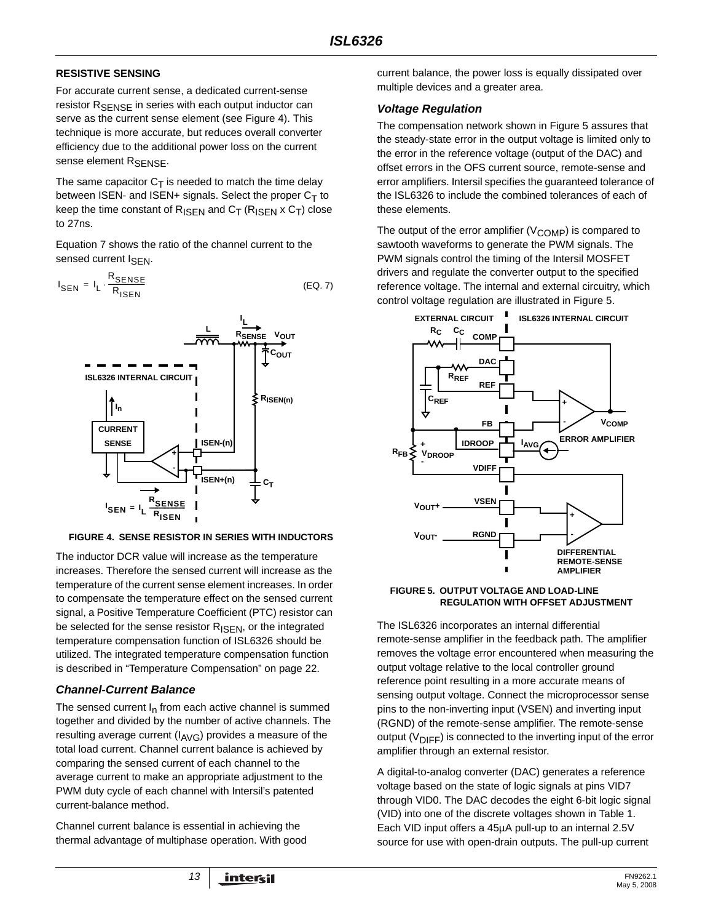#### **RESISTIVE SENSING**

For accurate current sense, a dedicated current-sense resistor R<sub>SENSE</sub> in series with each output inductor can serve as the current sense element (see Figure 4). This technique is more accurate, but reduces overall converter efficiency due to the additional power loss on the current sense element R<sub>SFNSF</sub>.

The same capacitor  $C_T$  is needed to match the time delay between ISEN- and ISEN+ signals. Select the proper  $C_T$  to keep the time constant of  $R_{\text{ISEN}}$  and  $C_{\text{T}}$  ( $R_{\text{ISEN}}$  x  $C_{\text{T}}$ ) close to 27ns.

Equation 7 shows the ratio of the channel current to the sensed current I<sub>SFN</sub>.

$$
I_{\text{SEN}} = I_{L} \cdot \frac{R_{\text{SENSE}}}{R_{\text{ISBN}}}
$$
 (EQ. 7)



**FIGURE 4. SENSE RESISTOR IN SERIES WITH INDUCTORS**

The inductor DCR value will increase as the temperature increases. Therefore the sensed current will increase as the temperature of the current sense element increases. In order to compensate the temperature effect on the sensed current signal, a Positive Temperature Coefficient (PTC) resistor can be selected for the sense resistor  $R_{\text{ISFN}}$ , or the integrated temperature compensation function of ISL6326 should be utilized. The integrated temperature compensation function is described in ["Temperature Compensation" on page 22](#page-21-0).

### *Channel-Current Balance*

The sensed current  $I_n$  from each active channel is summed together and divided by the number of active channels. The resulting average current ( $I_{AVG}$ ) provides a measure of the total load current. Channel current balance is achieved by comparing the sensed current of each channel to the average current to make an appropriate adjustment to the PWM duty cycle of each channel with Intersil's patented current-balance method.

Channel current balance is essential in achieving the thermal advantage of multiphase operation. With good current balance, the power loss is equally dissipated over multiple devices and a greater area.

#### *Voltage Regulation*

The compensation network shown in Figure 5 assures that the steady-state error in the output voltage is limited only to the error in the reference voltage (output of the DAC) and offset errors in the OFS current source, remote-sense and error amplifiers. Intersil specifies the guaranteed tolerance of the ISL6326 to include the combined tolerances of each of these elements.

The output of the error amplifier  $(V_{\text{COMP}})$  is compared to sawtooth waveforms to generate the PWM signals. The PWM signals control the timing of the Intersil MOSFET drivers and regulate the converter output to the specified reference voltage. The internal and external circuitry, which control voltage regulation are illustrated in Figure 5.



#### **FIGURE 5. OUTPUT VOLTAGE AND LOAD-LINE REGULATION WITH OFFSET ADJUSTMENT**

The ISL6326 incorporates an internal differential remote-sense amplifier in the feedback path. The amplifier removes the voltage error encountered when measuring the output voltage relative to the local controller ground reference point resulting in a more accurate means of sensing output voltage. Connect the microprocessor sense pins to the non-inverting input (VSEN) and inverting input (RGND) of the remote-sense amplifier. The remote-sense output ( $V_{\text{DIFF}}$ ) is connected to the inverting input of the error amplifier through an external resistor.

A digital-to-analog converter (DAC) generates a reference voltage based on the state of logic signals at pins VID7 through VID0. The DAC decodes the eight 6-bit logic signal (VID) into one of the discrete voltages shown in Table [1.](#page-13-0) Each VID input offers a 45µA pull-up to an internal 2.5V source for use with open-drain outputs. The pull-up current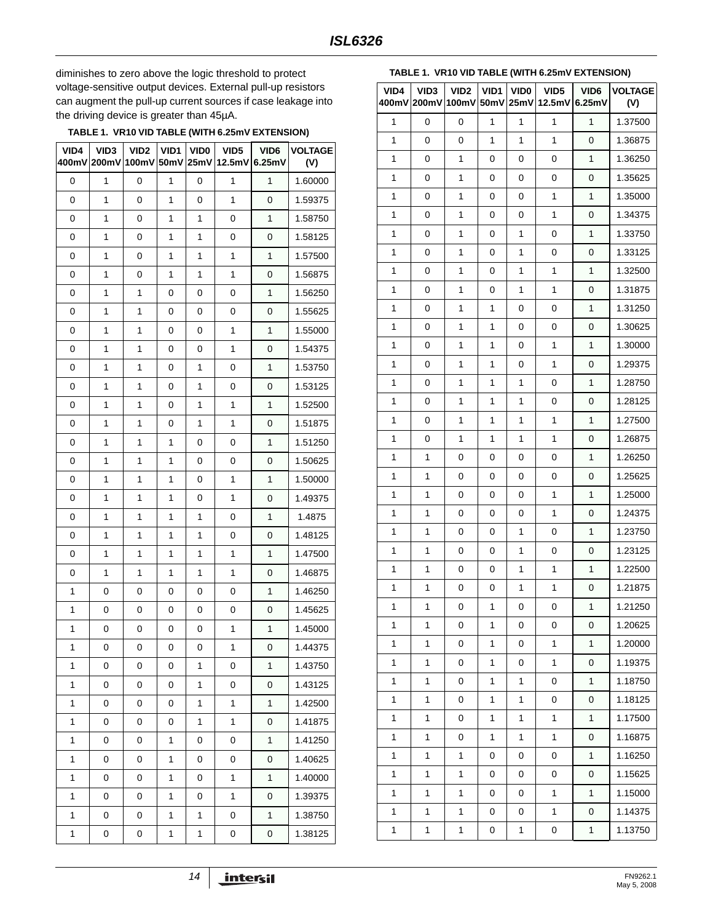diminishes to zero above the logic threshold to protect voltage-sensitive output devices. External pull-up resistors can augment the pull-up current sources if case leakage into the driving device is greater than 45µA.

<span id="page-13-0"></span>**TABLE 1. VR10 VID TABLE (WITH 6.25mV EXTENSION)**

| VID4<br>400mV | VID <sub>3</sub><br>200mV | VID <sub>2</sub><br>100mV | VID1<br>50mV | VID <sub>0</sub><br>25mV | VID <sub>5</sub><br>12.5mV | VID <sub>6</sub><br>6.25mV | <b>VOLTAGE</b><br>(V) |
|---------------|---------------------------|---------------------------|--------------|--------------------------|----------------------------|----------------------------|-----------------------|
| 0             | 1                         | 0                         | 1            | 0                        | 1                          | 1                          | 1.60000               |
| 0             | 1                         | 0                         | 1            | 0                        | 1                          | 0                          | 1.59375               |
| 0             | 1                         | 0                         | 1            | 1                        | 0                          | 1                          | 1.58750               |
| 0             | 1                         | 0                         | 1            | 1                        | 0                          | 0                          | 1.58125               |
| 0             | 1                         | 0                         | 1            | 1                        | 1                          | 1                          | 1.57500               |
| 0             | 1                         | 0                         | 1            | 1                        | 1                          | 0                          | 1.56875               |
| 0             | 1                         | 1                         | 0            | 0                        | 0                          | 1                          | 1.56250               |
| 0             | 1                         | 1                         | 0            | 0                        | 0                          | 0                          | 1.55625               |
| 0             | 1                         | 1                         | 0            | 0                        | 1                          | 1                          | 1.55000               |
| 0             | 1                         | 1                         | 0            | 0                        | 1                          | 0                          | 1.54375               |
| 0             | 1                         | 1                         | 0            | 1                        | 0                          | 1                          | 1.53750               |
| 0             | 1                         | 1                         | 0            | 1                        | 0                          | 0                          | 1.53125               |
| 0             | 1                         | 1                         | 0            | 1                        | 1                          | 1                          | 1.52500               |
| 0             | 1                         | 1                         | 0            | 1                        | 1                          | 0                          | 1.51875               |
| 0             | 1                         | 1                         | 1            | 0                        | 0                          | 1                          | 1.51250               |
| 0             | 1                         | 1                         | 1            | 0                        | 0                          | 0                          | 1.50625               |
| 0             | 1                         | 1                         | 1            | 0                        | 1                          | 1                          | 1.50000               |
| 0             | 1                         | 1                         | 1            | 0                        | 1                          | 0                          | 1.49375               |
| 0             | 1                         | 1                         | 1            | 1                        | 0                          | 1                          | 1.4875                |
| 0             | 1                         | 1                         | 1            | 1                        | 0                          | 0                          | 1.48125               |
| 0             | 1                         | 1                         | 1            | 1                        | 1                          | 1                          | 1.47500               |
| 0             | 1                         | 1                         | 1            | 1                        | 1                          | 0                          | 1.46875               |
| 1             | 0                         | 0                         | 0            | 0                        | 0                          | 1                          | 1.46250               |
| 1             | 0                         | 0                         | 0            | 0                        | 0                          | 0                          | 1.45625               |
| 1             | 0                         | 0                         | 0            | 0                        | 1                          | 1                          | 1.45000               |
| 1             | 0                         | 0                         | 0            | 0                        | 1                          | 0                          | 1.44375               |
| 1             | 0                         | 0                         | 0            | 1                        | 0                          | 1                          | 1.43750               |
| 1             | 0                         | 0                         | 0            | 1                        | 0                          | 0                          | 1.43125               |
| 1             | 0                         | 0                         | 0            | 1                        | 1                          | $\mathbf{1}$               | 1.42500               |
| 1             | 0                         | 0                         | 0            | 1                        | 1                          | 0                          | 1.41875               |
| 1             | 0                         | 0                         | 1            | 0                        | 0                          | 1                          | 1.41250               |
| 1             | 0                         | 0                         | 1            | 0                        | 0                          | 0                          | 1.40625               |
| 1             | 0                         | 0                         | 1            | 0                        | 1                          | 1                          | 1.40000               |
| 1             | 0                         | 0                         | 1            | 0                        | 1                          | 0                          | 1.39375               |
| 1             | 0                         | 0                         | 1            | 1                        | 0                          | $\mathbf{1}$               | 1.38750               |
| 1             | 0                         | 0                         | 1            | $\mathbf{1}$             | 0                          | 0                          | 1.38125               |

#### **TABLE 1. VR10 VID TABLE (WITH 6.25mV EXTENSION)**

| VID4<br>400mV | VID <sub>3</sub><br>200mV | VID <sub>2</sub><br>100mV | VID1<br>50mV | <b>VIDO</b><br>25mV | VID <sub>5</sub><br>12.5mV | VID <sub>6</sub><br>6.25mV | <b>VOLTAGE</b><br>(V) |
|---------------|---------------------------|---------------------------|--------------|---------------------|----------------------------|----------------------------|-----------------------|
| 1             | 0                         | 0                         | 1            | 1                   | 1                          | 1                          | 1.37500               |
| 1             | 0                         | 0                         | 1            | 1                   | 1                          | 0                          | 1.36875               |
| $\mathbf{1}$  | 0                         | 1                         | 0            | 0                   | 0                          | 1                          | 1.36250               |
| 1             | 0                         | 1                         | 0            | 0                   | 0                          | 0                          | 1.35625               |
| 1             | 0                         | 1                         | 0            | 0                   | 1                          | $\mathbf{1}$               | 1.35000               |
| 1             | 0                         | 1                         | 0            | 0                   | 1                          | 0                          | 1.34375               |
| 1             | 0                         | 1                         | 0            | 1                   | 0                          | 1                          | 1.33750               |
| 1             | 0                         | 1                         | 0            | 1                   | 0                          | 0                          | 1.33125               |
| 1             | 0                         | 1                         | 0            | 1                   | 1                          | 1                          | 1.32500               |
| 1             | 0                         | 1                         | 0            | 1                   | 1                          | 0                          | 1.31875               |
| 1             | 0                         | 1                         | 1            | 0                   | 0                          | $\mathbf{1}$               | 1.31250               |
| 1             | 0                         | 1                         | 1            | 0                   | 0                          | 0                          | 1.30625               |
| 1             | 0                         | 1                         | 1            | 0                   | 1                          | 1                          | 1.30000               |
| 1             | 0                         | 1                         | 1            | 0                   | 1                          | 0                          | 1.29375               |
| 1             | 0                         | 1                         | 1            | 1                   | 0                          | 1                          | 1.28750               |
| 1             | 0                         | 1                         | 1            | 1                   | 0                          | 0                          | 1.28125               |
| 1             | 0                         | 1                         | 1            | 1                   | 1                          | $\mathbf{1}$               | 1.27500               |
| 1             | 0                         | 1                         | 1            | 1                   | 1                          | 0                          | 1.26875               |
| 1             | 1                         | 0                         | 0            | 0                   | 0                          | 1                          | 1.26250               |
| 1             | $\mathbf{1}$              | 0                         | 0            | 0                   | 0                          | 0                          | 1.25625               |
| 1             | $\mathbf{1}$              | 0                         | 0            | 0                   | 1                          | 1                          | 1.25000               |
| 1             | $\mathbf{1}$              | 0                         | 0            | 0                   | 1                          | 0                          | 1.24375               |
| 1             | $\mathbf{1}$              | 0                         | 0            | 1                   | 0                          | $\mathbf{1}$               | 1.23750               |
| 1             | $\mathbf{1}$              | 0                         | 0            | 1                   | 0                          | 0                          | 1.23125               |
| 1             | $\mathbf{1}$              | 0                         | 0            | 1                   | 1                          | 1                          | 1.22500               |
| 1             | 1                         | 0                         | 0            | 1                   | 1                          | 0                          | 1.21875               |
| 1             | 1                         | 0                         | 1            | 0                   | 0                          | 1                          | 1.21250               |
| 1             | 1                         | 0                         | 1            | 0                   | 0                          | 0                          | 1.20625               |
| 1             | 1                         | 0                         | 1            | 0                   | 1                          | 1                          | 1.20000               |
| 1             | $\mathbf{1}$              | 0                         | 1            | 0                   | 1                          | 0                          | 1.19375               |
| 1             | 1                         | 0                         | 1            | 1                   | 0                          | 1                          | 1.18750               |
| 1             | 1                         | 0                         | 1            | 1                   | 0                          | 0                          | 1.18125               |
| 1             | 1                         | 0                         | 1            | 1                   | 1                          | $\mathbf{1}$               | 1.17500               |
| 1             | 1                         | 0                         | 1            | 1                   | 1                          | 0                          | 1.16875               |
| 1             | 1                         | 1                         | 0            | 0                   | 0                          | 1                          | 1.16250               |
| 1             | 1                         | 1                         | 0            | 0                   | 0                          | 0                          | 1.15625               |
| 1             | 1                         | 1                         | 0            | 0                   | 1                          | 1                          | 1.15000               |
| 1             | 1                         | 1                         | 0            | 0                   | 1                          | 0                          | 1.14375               |
| 1             | 1                         | 1                         | 0            | 1                   | 0                          | 1                          | 1.13750               |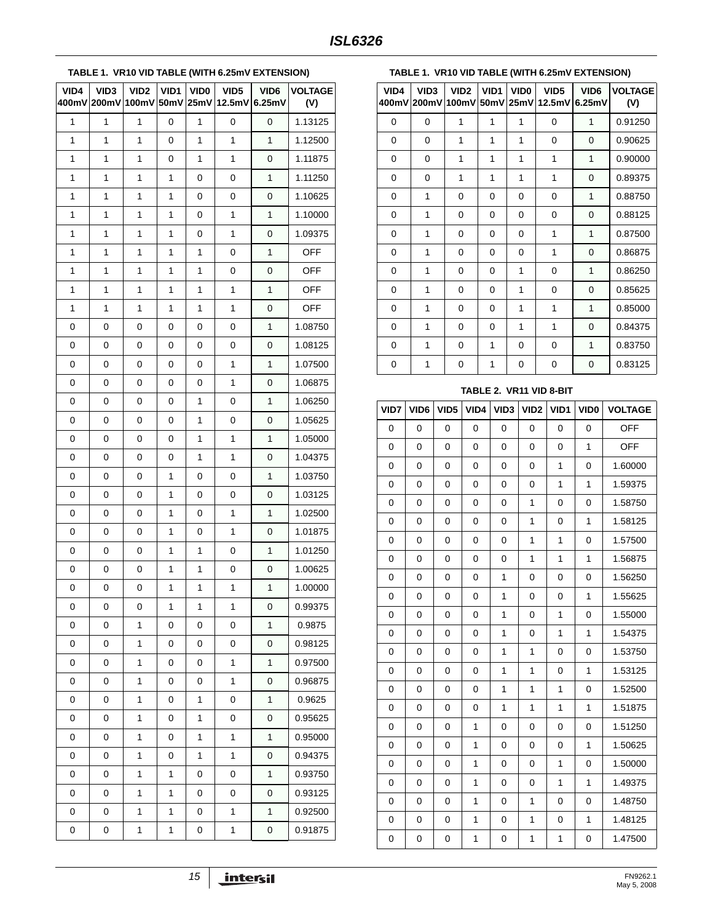#### **TABLE 1. VR10 VID TABLE (WITH 6.25mV EXTENSION)**

| VID4<br>400mV | VID3 | VID <sub>2</sub><br>200mV 100mV | VID1<br>50mV | VID <sub>0</sub><br>25mV | VID <sub>5</sub><br>12.5mV | VID <sub>6</sub><br>6.25mV | <b>VOLTAGE</b><br>(V) |
|---------------|------|---------------------------------|--------------|--------------------------|----------------------------|----------------------------|-----------------------|
| 1             | 1    | 1                               | 0            | 1                        | 0                          | 0                          | 1.13125               |
| 1             | 1    | 1                               | 0            | 1                        | 1                          | 1                          | 1.12500               |
| 1             | 1    | 1                               | 0            | 1                        | 1                          | 0                          | 1.11875               |
| 1             | 1    | 1                               | 1            | 0                        | 0                          | 1                          | 1.11250               |
| 1             | 1    | 1                               | 1            | 0                        | 0                          | 0                          | 1.10625               |
| 1             | 1    | 1                               | 1            | 0                        | 1                          | $\mathbf{1}$               | 1.10000               |
| 1             | 1    | 1                               | 1            | 0                        | 1                          | 0                          | 1.09375               |
| 1             | 1    | 1                               | 1            | 1                        | 0                          | 1                          | OFF                   |
| 1             | 1    | 1                               | 1            | 1                        | 0                          | 0                          | <b>OFF</b>            |
| 1             | 1    | 1                               | 1            | 1                        | 1                          | 1                          | OFF                   |
| 1             | 1    | 1                               | 1            | 1                        | 1                          | 0                          | OFF                   |
| 0             | 0    | 0                               | 0            | 0                        | 0                          | $\mathbf{1}$               | 1.08750               |
| 0             | 0    | 0                               | 0            | 0                        | 0                          | 0                          | 1.08125               |
| 0             | 0    | 0                               | 0            | 0                        | 1                          | 1                          | 1.07500               |
| 0             | 0    | 0                               | 0            | 0                        | $\mathbf{1}$               | 0                          | 1.06875               |
| 0             | 0    | 0                               | 0            | 1                        | 0                          | 1                          | 1.06250               |
| 0             | 0    | 0                               | 0            | 1                        | 0                          | 0                          | 1.05625               |
| 0             | 0    | 0                               | 0            | 1                        | 1                          | $\mathbf{1}$               | 1.05000               |
| 0             | 0    | 0                               | 0            | 1                        | 1                          | 0                          | 1.04375               |
| 0             | 0    | 0                               | 1            | 0                        | 0                          | 1                          | 1.03750               |
| 0             | 0    | 0                               | 1            | 0                        | 0                          | 0                          | 1.03125               |
| 0             | 0    | 0                               | 1            | 0                        | 1                          | 1                          | 1.02500               |
| 0             | 0    | 0                               | 1            | 0                        | 1                          | 0                          | 1.01875               |
| 0             | 0    | 0                               | 1            | 1                        | 0                          | $\mathbf{1}$               | 1.01250               |
| 0             | 0    | 0                               | 1            | 1                        | 0                          | 0                          | 1.00625               |
| 0             | 0    | 0                               | 1            | 1                        | 1                          | 1                          | 1.00000               |
| $\mathbf 0$   | 0    | $\pmb{0}$                       | 1            | $\mathbf{1}$             | 1                          | $\mathbf 0$                | 0.99375               |
| 0             | 0    | 1                               | 0            | 0                        | 0                          | 1                          | 0.9875                |
| 0             | 0    | 1                               | 0            | 0                        | 0                          | 0                          | 0.98125               |
| 0             | 0    | 1                               | 0            | 0                        | $\mathbf{1}$               | 1                          | 0.97500               |
| 0             | 0    | 1                               | 0            | 0                        | 1                          | 0                          | 0.96875               |
| 0             | 0    | 1                               | 0            | 1                        | 0                          | 1                          | 0.9625                |
| 0             | 0    | 1                               | 0            | 1                        | 0                          | 0                          | 0.95625               |
| 0             | 0    | 1                               | 0            | 1                        | 1                          | $\mathbf{1}$               | 0.95000               |
| 0             | 0    | 1                               | 0            | 1                        | 1                          | 0                          | 0.94375               |
| 0             | 0    | 1                               | 1            | 0                        | 0                          | 1                          | 0.93750               |
| 0             | 0    | 1                               | 1            | 0                        | 0                          | 0                          | 0.93125               |
| 0             | 0    | 1                               | 1            | 0                        | 1                          | 1                          | 0.92500               |
| 0             | 0    | 1                               | 1            | 0                        | $\mathbf{1}$               | 0                          | 0.91875               |

#### **TABLE 1. VR10 VID TABLE (WITH 6.25mV EXTENSION)**

| VID4 | VID <sub>3</sub><br>400mV 200mV | VID <sub>2</sub><br>100mV | VID1<br>50mV | VID <sub>0</sub> | VID <sub>5</sub><br>25mV 12.5mV | VID <sub>6</sub><br>6.25mV | <b>VOLTAGE</b><br>(V) |
|------|---------------------------------|---------------------------|--------------|------------------|---------------------------------|----------------------------|-----------------------|
| 0    | $\Omega$                        | 1                         | 1            | 1                | 0                               | 1                          | 0.91250               |
| 0    | 0                               | 1                         | 1            | 1                | $\Omega$                        | 0                          | 0.90625               |
| 0    | 0                               | 1                         | 1            | 1                | 1                               | 1                          | 0.90000               |
| 0    | 0                               | 1                         | 1            | 1                | 1                               | $\Omega$                   | 0.89375               |
| 0    | 1                               | 0                         | $\Omega$     | 0                | $\Omega$                        | 1                          | 0.88750               |
| 0    | 1                               | 0                         | 0            | $\Omega$         | $\Omega$                        | $\Omega$                   | 0.88125               |
| 0    | 1                               | 0                         | $\Omega$     | $\Omega$         | 1                               | 1                          | 0.87500               |
| 0    | 1                               | 0                         | $\Omega$     | $\Omega$         | 1                               | $\Omega$                   | 0.86875               |
| 0    | 1                               | 0                         | 0            | 1                | $\Omega$                        | 1                          | 0.86250               |
| 0    | 1                               | 0                         | 0            | 1                | 0                               | 0                          | 0.85625               |
| 0    | 1                               | 0                         | $\Omega$     | 1                | 1                               | 1                          | 0.85000               |
| 0    | 1                               | 0                         | 0            | 1                | 1                               | $\Omega$                   | 0.84375               |
| 0    | 1                               | 0                         | 1            | 0                | 0                               | 1                          | 0.83750               |
| 0    | 1                               | 0                         | 1            | 0                | 0                               | 0                          | 0.83125               |

#### **TABLE 2. VR11 VID 8-BIT**

| VID7           | VID6 | VID <sub>5</sub> | VID4        | VID <sub>3</sub> | VID <sub>2</sub> | VID1         | VID <sub>0</sub> | <b>VOLTAGE</b> |
|----------------|------|------------------|-------------|------------------|------------------|--------------|------------------|----------------|
| $\overline{0}$ | 0    | $\overline{0}$   | $\mathbf 0$ | 0                | $\mathbf 0$      | 0            | 0                | <b>OFF</b>     |
| 0              | 0    | 0                | 0           | 0                | 0                | 0            | 1                | <b>OFF</b>     |
| 0              | 0    | $\overline{0}$   | 0           | 0                | $\mathbf 0$      | 1            | 0                | 1.60000        |
| $\mathbf 0$    | 0    | 0                | 0           | 0                | 0                | 1            | 1                | 1.59375        |
| 0              | 0    | 0                | 0           | 0                | $\mathbf{1}$     | 0            | 0                | 1.58750        |
| 0              | 0    | 0                | 0           | 0                | $\mathbf{1}$     | 0            | 1                | 1.58125        |
| 0              | 0    | 0                | 0           | 0                | $\mathbf{1}$     | 1            | 0                | 1.57500        |
| 0              | 0    | $\overline{0}$   | 0           | 0                | $\mathbf{1}$     | $\mathbf{1}$ | 1                | 1.56875        |
| 0              | 0    | 0                | 0           | 1                | 0                | 0            | 0                | 1.56250        |
| 0              | 0    | 0                | 0           | 1                | 0                | 0            | 1                | 1.55625        |
| 0              | 0    | 0                | 0           | 1                | $\mathbf 0$      | 1            | 0                | 1.55000        |
| 0              | 0    | 0                | 0           | 1                | 0                | 1            | 1                | 1.54375        |
| $\mathbf 0$    | 0    | 0                | 0           | 1                | $\mathbf{1}$     | 0            | 0                | 1.53750        |
| 0              | 0    | 0                | 0           | 1                | $\mathbf{1}$     | 0            | 1                | 1.53125        |
| 0              | 0    | 0                | 0           | 1                | $\mathbf{1}$     | 1            | 0                | 1.52500        |
| 0              | 0    | 0                | 0           | 1                | $\mathbf{1}$     | $\mathbf{1}$ | 1                | 1.51875        |
| 0              | 0    | 0                | 1           | 0                | 0                | 0            | 0                | 1.51250        |
| $\mathbf 0$    | 0    | 0                | 1           | 0                | 0                | 0            | 1                | 1.50625        |
| 0              | 0    | 0                | 1           | 0                | 0                | 1            | 0                | 1.50000        |
| $\mathbf 0$    | 0    | 0                | 1           | 0                | 0                | $\mathbf{1}$ | 1                | 1.49375        |
| 0              | 0    | 0                | 1           | 0                | $\mathbf{1}$     | 0            | 0                | 1.48750        |
| 0              | 0    | 0                | 1           | 0                | $\mathbf{1}$     | 0            | 1                | 1.48125        |
| 0              | 0    | 0                | 1           | 0                | 1                | 1            | 0                | 1.47500        |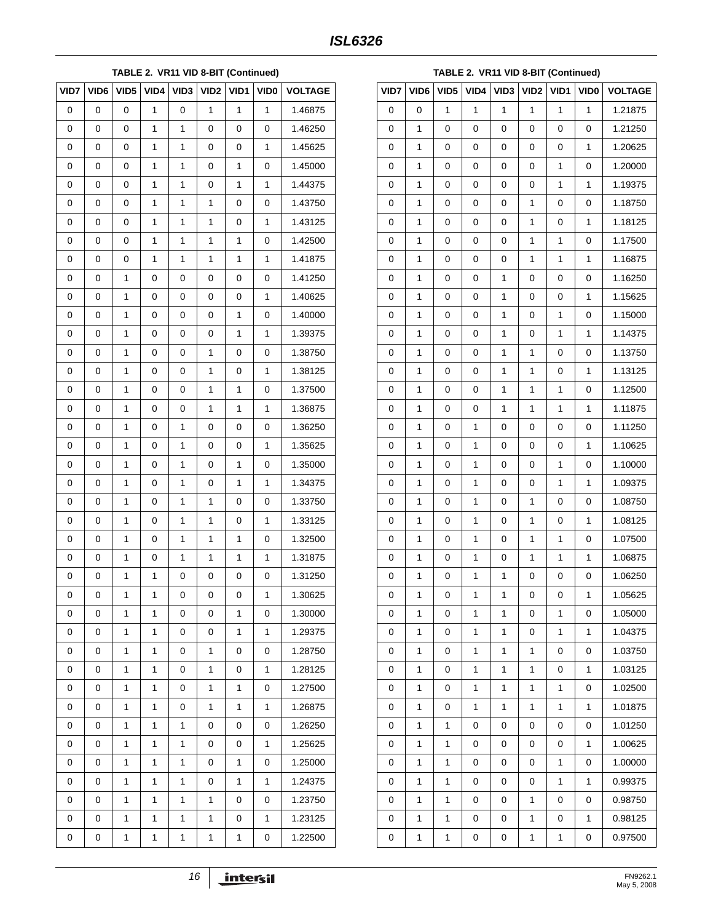**TABLE 2. VR11 VID 8-BIT (Continued)**

| VID7 | VID6 | VID <sub>5</sub> | VID4 | VID <sub>3</sub> | VID <sub>2</sub> | VID1 | VID <sub>0</sub> | <b>VOLTAGE</b> |
|------|------|------------------|------|------------------|------------------|------|------------------|----------------|
| 0    | 0    | 0                | 1    | 0                | 1                | 1    | 1                | 1.46875        |
| 0    | 0    | 0                | 1    | $\mathbf{1}$     | 0                | 0    | 0                | 1.46250        |
| 0    | 0    | 0                | 1    | 1                | 0                | 0    | 1                | 1.45625        |
| 0    | 0    | 0                | 1    | 1                | 0                | 1    | 0                | 1.45000        |
| 0    | 0    | 0                | 1    | 1                | 0                | 1    | 1                | 1.44375        |
| 0    | 0    | 0                | 1    | 1                | 1                | 0    | 0                | 1.43750        |
| 0    | 0    | 0                | 1    | 1                | 1                | 0    | 1                | 1.43125        |
| 0    | 0    | 0                | 1    | 1                | 1                | 1    | 0                | 1.42500        |
| 0    | 0    | 0                | 1    | 1                | 1                | 1    | 1                | 1.41875        |
| 0    | 0    | 1                | 0    | 0                | 0                | 0    | 0                | 1.41250        |
| 0    | 0    | 1                | 0    | 0                | 0                | 0    | 1                | 1.40625        |
| 0    | 0    | 1                | 0    | 0                | 0                | 1    | 0                | 1.40000        |
| 0    | 0    | 1                | 0    | 0                | 0                | 1    | 1                | 1.39375        |
| 0    | 0    | 1                | 0    | 0                | 1                | 0    | 0                | 1.38750        |
| 0    | 0    | 1                | 0    | 0                | 1                | 0    | 1                | 1.38125        |
| 0    | 0    | 1                | 0    | 0                | 1                | 1    | 0                | 1.37500        |
| 0    | 0    | 1                | 0    | 0                | 1                | 1    | 1                | 1.36875        |
| 0    | 0    | 1                | 0    | 1                | 0                | 0    | 0                | 1.36250        |
| 0    | 0    | 1                | 0    | 1                | 0                | 0    | 1                | 1.35625        |
| 0    | 0    | 1                | 0    | 1                | 0                | 1    | 0                | 1.35000        |
| 0    | 0    | 1                | 0    | 1                | 0                | 1    | 1                | 1.34375        |
| 0    | 0    | 1                | 0    | 1                | 1                | 0    | 0                | 1.33750        |
| 0    | 0    | 1                | 0    | 1                | 1                | 0    | 1                | 1.33125        |
| 0    | 0    | 1                | 0    | 1                | 1                | 1    | 0                | 1.32500        |
| 0    | 0    | 1                | 0    | 1                | 1                | 1    | 1                | 1.31875        |
| 0    | 0    | 1                | 1    | 0                | 0                | 0    | 0                | 1.31250        |
| 0    | 0    | 1                | 1    | 0                | 0                | 0    | 1                | 1.30625        |
| 0    | 0    | 1                | 1    | 0                | 0                | 1    | 0                | 1.30000        |
| 0    | 0    | 1                | 1    | 0                | 0                | 1    | 1                | 1.29375        |
| 0    | 0    | 1                | 1    | 0                | 1                | 0    | 0                | 1.28750        |
| 0    | 0    | 1                | 1    | 0                | 1                | 0    | 1                | 1.28125        |
| 0    | 0    | 1                | 1    | 0                | 1                | 1    | 0                | 1.27500        |
| 0    | 0    | 1                | 1    | 0                | 1                | 1    | 1                | 1.26875        |
| 0    | 0    | 1                | 1    | 1                | 0                | 0    | 0                | 1.26250        |
| 0    | 0    | 1                | 1    | 1                | 0                | 0    | 1                | 1.25625        |
| 0    | 0    | 1                | 1    | 1                | 0                | 1    | 0                | 1.25000        |
| 0    | 0    | 1                | 1    | 1                | 0                | 1    | 1                | 1.24375        |
| 0    | 0    | 1                | 1    | 1                | 1                | 0    | 0                | 1.23750        |
| 0    | 0    | 1                | 1    | 1                | 1                | 0    | 1                | 1.23125        |
| 0    | 0    | 1                | 1    | 1                | 1                | 1    | 0                | 1.22500        |

|      |      |                  |      |                  |                  | TABLE 2. VR11 VID 8-BIT (Continued) |                  |                |
|------|------|------------------|------|------------------|------------------|-------------------------------------|------------------|----------------|
| VID7 | VID6 | VID <sub>5</sub> | VID4 | VID <sub>3</sub> | VID <sub>2</sub> | VID1                                | VID <sub>0</sub> | <b>VOLTAGE</b> |
| 0    | 0    | 1                | 1    | 1                | 1                | 1                                   | 1                | 1.21875        |
| 0    | 1    | 0                | 0    | 0                | 0                | 0                                   | 0                | 1.21250        |
| 0    | 1    | 0                | 0    | 0                | 0                | 0                                   | 1                | 1.20625        |
| 0    | 1    | 0                | 0    | 0                | 0                | 1                                   | 0                | 1.20000        |
| 0    | 1    | 0                | 0    | 0                | 0                | 1                                   | 1                | 1.19375        |
| 0    | 1    | 0                | 0    | 0                | 1                | 0                                   | 0                | 1.18750        |
| 0    | 1    | 0                | 0    | 0                | 1                | 0                                   | 1                | 1.18125        |
| 0    | 1    | 0                | 0    | 0                | 1                | 1                                   | 0                | 1.17500        |
| 0    | 1    | 0                | 0    | 0                | 1                | 1                                   | 1                | 1.16875        |
| 0    | 1    | 0                | 0    | 1                | 0                | 0                                   | 0                | 1.16250        |
| 0    | 1    | 0                | 0    | 1                | 0                | 0                                   | 1                | 1.15625        |
| 0    | 1    | 0                | 0    | 1                | 0                | 1                                   | 0                | 1.15000        |
| 0    | 1    | 0                | 0    | 1                | 0                | 1                                   | 1                | 1.14375        |
| 0    | 1    | 0                | 0    | 1                | 1                | 0                                   | 0                | 1.13750        |
| 0    | 1    | 0                | 0    | 1                | 1                | 0                                   | 1                | 1.13125        |
| 0    | 1    | 0                | 0    | 1                | 1                | 1                                   | 0                | 1.12500        |
| 0    | 1    | 0                | 0    | 1                | 1                | 1                                   | 1                | 1.11875        |
| 0    | 1    | 0                | 1    | 0                | 0                | 0                                   | 0                | 1.11250        |
| 0    | 1    | 0                | 1    | 0                | 0                | 0                                   | 1                | 1.10625        |
| 0    | 1    | 0                | 1    | 0                | 0                | 1                                   | 0                | 1.10000        |
| 0    | 1    | 0                | 1    | 0                | 0                | 1                                   | 1                | 1.09375        |
| 0    | 1    | 0                | 1    | 0                | 1                | 0                                   | 0                | 1.08750        |
| 0    | 1    | 0                | 1    | 0                | 1                | 0                                   | 1                | 1.08125        |
| 0    | 1    | 0                | 1    | 0                | 1                | 1                                   | 0                | 1.07500        |
| 0    | 1    | 0                | 1    | 0                | 1                | 1                                   | 1                | 1.06875        |
| 0    | 1    | 0                | 1    | 1                | 0                | 0                                   | 0                | 1.06250        |
| 0    | 1    | 0                | 1    | 1                | 0                | 0                                   | 1                | 1.05625        |
| 0    | 1    | 0                | 1    | 1                | 0                | 1                                   | 0                | 1.05000        |
| 0    | 1    | 0                | 1    | 1                | 0                | 1                                   | 1                | 1.04375        |
| 0    | 1    | 0                | 1    | 1                | 1                | 0                                   | 0                | 1.03750        |
| 0    | 1    | 0                | 1    | 1                | 1                | 0                                   | 1                | 1.03125        |
| 0    | 1    | 0                | 1    | 1                | 1                | 1                                   | 0                | 1.02500        |
| 0    | 1    | 0                | 1    | 1                | 1                | 1                                   | 1                | 1.01875        |
| 0    | 1    | 1                | 0    | 0                | 0                | 0                                   | 0                | 1.01250        |
| 0    | 1    | 1                | 0    | 0                | 0                | 0                                   | 1                | 1.00625        |
| 0    | 1    | 1                | 0    | 0                | 0                | 1                                   | 0                | 1.00000        |
| 0    | 1    | 1                | 0    | 0                | 0                | 1                                   | 1                | 0.99375        |
| 0    | 1    | 1                | 0    | 0                | 1                | 0                                   | 0                | 0.98750        |
| 0    | 1    | 1                | 0    | 0                | 1                | 0                                   | 1                | 0.98125        |
| 0    | 1    | 1                | 0    | 0                | 1                | 1                                   | 0                | 0.97500        |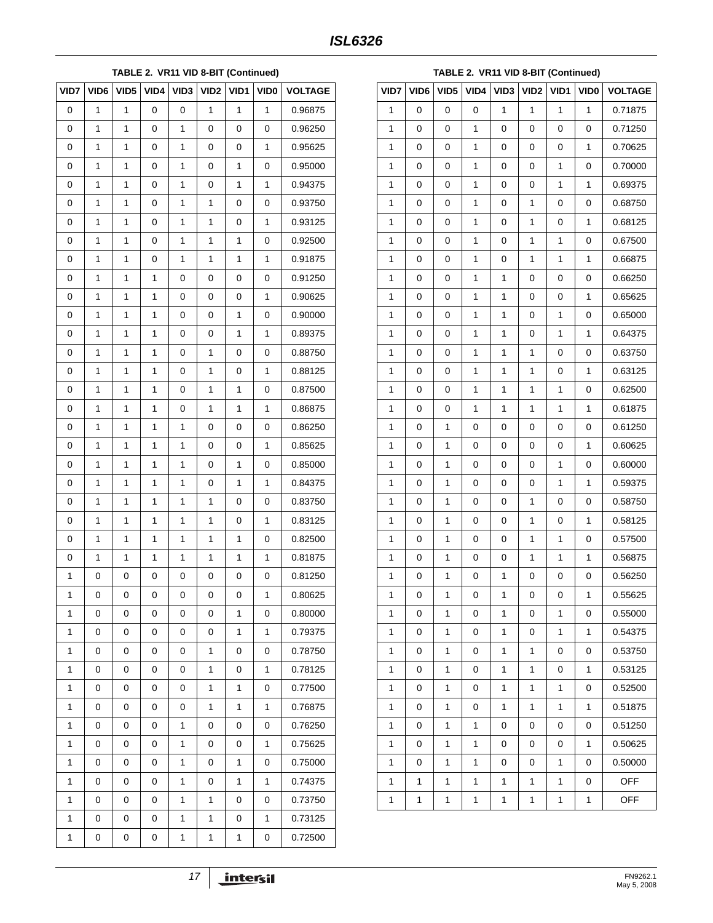**TABLE 2. VR11 VID 8-BIT (Continued)**

| VID7 | VID6 | VID <sub>5</sub> | VID4 | VID <sub>3</sub> | VID <sub>2</sub> | VID1 | VID <sub>0</sub> | <b>VOLTAGE</b> |
|------|------|------------------|------|------------------|------------------|------|------------------|----------------|
| 0    | 1    | 1                | 0    | 0                | 1                | 1    | 1                | 0.96875        |
| 0    | 1    | 1                | 0    | 1                | 0                | 0    | 0                | 0.96250        |
| 0    | 1    | 1                | 0    | 1                | 0                | 0    | 1                | 0.95625        |
| 0    | 1    | 1                | 0    | 1                | 0                | 1    | 0                | 0.95000        |
| 0    | 1    | 1                | 0    | 1                | 0                | 1    | $\mathbf{1}$     | 0.94375        |
| 0    | 1    | 1                | 0    | 1                | 1                | 0    | 0                | 0.93750        |
| 0    | 1    | 1                | 0    | 1                | 1                | 0    | 1                | 0.93125        |
| 0    | 1    | 1                | 0    | 1                | 1                | 1    | 0                | 0.92500        |
| 0    | 1    | 1                | 0    | 1                | 1                | 1    | 1                | 0.91875        |
| 0    | 1    | 1                | 1    | 0                | 0                | 0    | 0                | 0.91250        |
| 0    | 1    | 1                | 1    | 0                | 0                | 0    | 1                | 0.90625        |
| 0    | 1    | 1                | 1    | 0                | 0                | 1    | 0                | 0.90000        |
| 0    | 1    | 1                | 1    | 0                | 0                | 1    | 1                | 0.89375        |
| 0    | 1    | 1                | 1    | 0                | 1                | 0    | 0                | 0.88750        |
| 0    | 1    | 1                | 1    | 0                | 1                | 0    | 1                | 0.88125        |
| 0    | 1    | 1                | 1    | 0                | 1                | 1    | 0                | 0.87500        |
| 0    | 1    | 1                | 1    | 0                | 1                | 1    | 1                | 0.86875        |
| 0    | 1    | 1                | 1    | 1                | 0                | 0    | 0                | 0.86250        |
| 0    | 1    | 1                | 1    | 1                | 0                | 0    | 1                | 0.85625        |
| 0    | 1    | 1                | 1    | 1                | 0                | 1    | 0                | 0.85000        |
| 0    | 1    | 1                | 1    | 1                | 0                | 1    | 1                | 0.84375        |
| 0    | 1    | 1                | 1    | 1                | 1                | 0    | 0                | 0.83750        |
| 0    | 1    | 1                | 1    | 1                | 1                | 0    | 1                | 0.83125        |
| 0    | 1    | 1                | 1    | 1                | 1                | 1    | 0                | 0.82500        |
| 0    | 1    | 1                | 1    | 1                | 1                | 1    | 1                | 0.81875        |
| 1    | 0    | 0                | 0    | 0                | 0                | 0    | 0                | 0.81250        |
| 1    | 0    | 0                | 0    | 0                | 0                | 0    | 1                | 0.80625        |
| 1    | 0    | 0                | 0    | 0                | 0                | 1    | 0                | 0.80000        |
| 1    | 0    | 0                | 0    | 0                | 0                | 1    | $\mathbf{1}$     | 0.79375        |
| 1    | 0    | 0                | 0    | 0                | 1                | 0    | 0                | 0.78750        |
| 1    | 0    | 0                | 0    | 0                | 1                | 0    | 1                | 0.78125        |
| 1    | 0    | 0                | 0    | 0                | 1                | 1    | 0                | 0.77500        |
| 1    | 0    | 0                | 0    | 0                | 1                | 1    | 1                | 0.76875        |
| 1    | 0    | 0                | 0    | 1                | 0                | 0    | 0                | 0.76250        |
| 1    | 0    | 0                | 0    | 1                | 0                | 0    | 1                | 0.75625        |
| 1    | 0    | 0                | 0    | 1                | 0                | 1    | 0                | 0.75000        |
| 1    | 0    | 0                | 0    | 1                | 0                | 1    | 1                | 0.74375        |
| 1    | 0    | 0                | 0    | 1                | 1                | 0    | 0                | 0.73750        |
| 1    | 0    | 0                | 0    | 1                | 1                | 0    | 1                | 0.73125        |
| 1    | 0    | 0                | 0    | 1                | 1                | 1    | 0                | 0.72500        |

|      |      |                  |      |                  |                  | TABLE 2. VR11 VID 8-BIT (Continued) |             |                |
|------|------|------------------|------|------------------|------------------|-------------------------------------|-------------|----------------|
| VID7 | VID6 | VID <sub>5</sub> | VID4 | VID <sub>3</sub> | VID <sub>2</sub> | VID1                                | <b>VIDO</b> | <b>VOLTAGE</b> |
| 1    | 0    | 0                | 0    | 1                | 1                | 1                                   | 1           | 0.71875        |
| 1    | 0    | 0                | 1    | 0                | 0                | 0                                   | 0           | 0.71250        |
| 1    | 0    | 0                | 1    | 0                | 0                | 0                                   | 1           | 0.70625        |
| 1    | 0    | 0                | 1    | 0                | 0                | 1                                   | 0           | 0.70000        |
| 1    | 0    | 0                | 1    | 0                | 0                | 1                                   | 1           | 0.69375        |
| 1    | 0    | 0                | 1    | 0                | 1                | 0                                   | 0           | 0.68750        |
| 1    | 0    | 0                | 1    | 0                | 1                | 0                                   | 1           | 0.68125        |
| 1    | 0    | 0                | 1    | 0                | 1                | 1                                   | 0           | 0.67500        |
| 1    | 0    | 0                | 1    | 0                | 1                | 1                                   | 1           | 0.66875        |
| 1    | 0    | 0                | 1    | 1                | 0                | 0                                   | 0           | 0.66250        |
| 1    | 0    | 0                | 1    | 1                | 0                | 0                                   | 1           | 0.65625        |
| 1    | 0    | 0                | 1    | 1                | 0                | 1                                   | 0           | 0.65000        |
| 1    | 0    | 0                | 1    | 1                | 0                | 1                                   | 1           | 0.64375        |
| 1    | 0    | 0                | 1    | 1                | 1                | 0                                   | 0           | 0.63750        |
| 1    | 0    | 0                | 1    | 1                | 1                | 0                                   | 1           | 0.63125        |
| 1    | 0    | 0                | 1    | 1                | 1                | 1                                   | 0           | 0.62500        |
| 1    | 0    | 0                | 1    | 1                | 1                | 1                                   | 1           | 0.61875        |
| 1    | 0    | 1                | 0    | 0                | 0                | 0                                   | 0           | 0.61250        |
| 1    | 0    | 1                | 0    | 0                | 0                | 0                                   | 1           | 0.60625        |
| 1    | 0    | 1                | 0    | 0                | 0                | 1                                   | 0           | 0.60000        |
| 1    | 0    | 1                | 0    | 0                | 0                | 1                                   | 1           | 0.59375        |
| 1    | 0    | 1                | 0    | 0                | 1                | 0                                   | 0           | 0.58750        |
| 1    | 0    | 1                | 0    | 0                | 1                | 0                                   | 1           | 0.58125        |
| 1    | 0    | 1                | 0    | 0                | 1                | 1                                   | 0           | 0.57500        |
| 1    | 0    | 1                | 0    | 0                | 1                | 1                                   | 1           | 0.56875        |
| 1    | 0    | 1                | 0    | 1                | 0                | 0                                   | 0           | 0.56250        |
| 1    | 0    | 1                | 0    | 1                | 0                | 0                                   | 1           | 0.55625        |
| 1    | 0    | 1                | 0    | 1                | 0                | 1                                   | 0           | 0.55000        |
| 1    | 0    | 1                | 0    | 1                | 0                | 1                                   | 1           | 0.54375        |
| 1    | 0    | 1                | 0    | 1                | 1                | 0                                   | 0           | 0.53750        |
| 1    | 0    | 1                | 0    | $\mathbf{1}$     | 1                | 0                                   | 1           | 0.53125        |
| 1    | 0    | 1                | 0    | 1                | 1                | 1                                   | 0           | 0.52500        |
| 1    | 0    | 1                | 0    | 1                | 1                | 1                                   | 1           | 0.51875        |
| 1    | 0    | 1                | 1    | 0                | 0                | 0                                   | 0           | 0.51250        |
| 1    | 0    | 1                | 1    | 0                | 0                | 0                                   | 1           | 0.50625        |
| 1    | 0    | 1                | 1    | 0                | 0                | 1                                   | 0           | 0.50000        |
| 1    | 1    | 1                | 1    | 1                | 1                | 1                                   | 0           | <b>OFF</b>     |
| 1    | 1    | 1                | 1    | 1                | 1                | 1                                   | 1           | OFF            |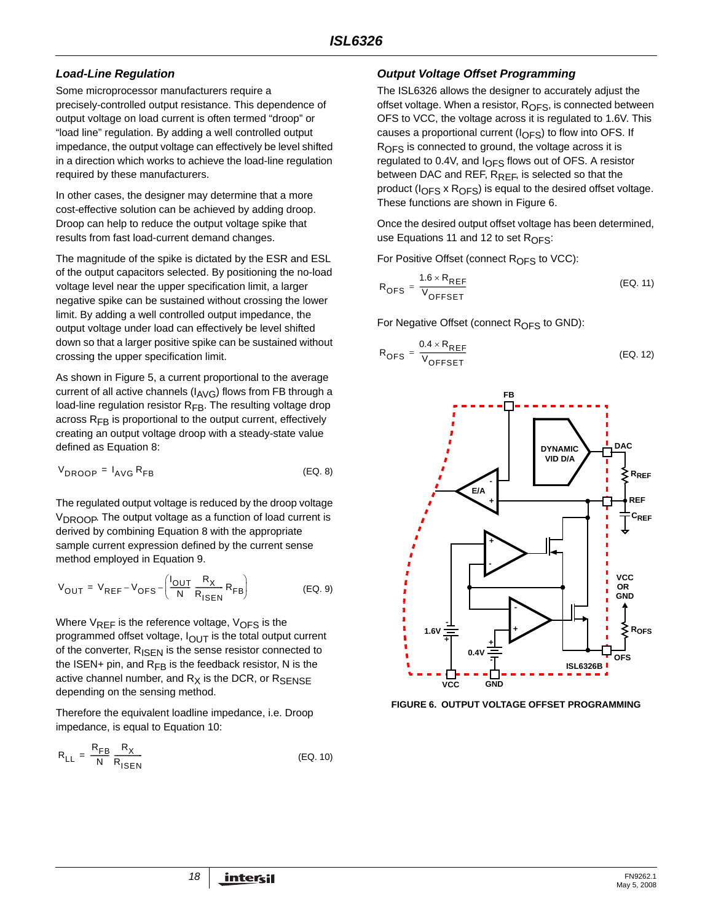### <span id="page-17-5"></span>*Load-Line Regulation*

Some microprocessor manufacturers require a precisely-controlled output resistance. This dependence of output voltage on load current is often termed "droop" or "load line" regulation. By adding a well controlled output impedance, the output voltage can effectively be level shifted in a direction which works to achieve the load-line regulation required by these manufacturers.

In other cases, the designer may determine that a more cost-effective solution can be achieved by adding droop. Droop can help to reduce the output voltage spike that results from fast load-current demand changes.

The magnitude of the spike is dictated by the ESR and ESL of the output capacitors selected. By positioning the no-load voltage level near the upper specification limit, a larger negative spike can be sustained without crossing the lower limit. By adding a well controlled output impedance, the output voltage under load can effectively be level shifted down so that a larger positive spike can be sustained without crossing the upper specification limit.

As shown in Figure 5, a current proportional to the average current of all active channels (I<sub>AVG</sub>) flows from FB through a load-line regulation resistor  $R_{FB}$ . The resulting voltage drop across  $R_{FB}$  is proportional to the output current, effectively creating an output voltage droop with a steady-state value defined as Equation 8:

$$
V_{DROOP} = I_{AVG} R_{FB}
$$
 (EQ. 8)

The regulated output voltage is reduced by the droop voltage V<sub>DROOP</sub>. The output voltage as a function of load current is derived by combining Equation 8 with the appropriate sample current expression defined by the current sense method employed in Equation [9](#page-17-0).

$$
V_{OUT} = V_{REF} - V_{OFS} - \left(\frac{I_{OUT}}{N} \frac{R_X}{R_{ISEN}} R_{FB}\right)
$$
 (EQ. 9)

Where  $V_{REF}$  is the reference voltage,  $V_{OFF}$  is the programmed offset voltage,  $I_{\Omega UT}$  is the total output current of the converter, R<sub>ISEN</sub> is the sense resistor connected to the ISEN+ pin, and  $R_{FB}$  is the feedback resistor, N is the active channel number, and  $R_X$  is the DCR, or  $R_{\text{SENSE}}$ depending on the sensing method.

Therefore the equivalent loadline impedance, i.e. Droop impedance, is equal to Equation [10](#page-17-1):

$$
R_{LL} = \frac{R_{FB}}{N} \frac{R_X}{R_{ISEN}}
$$
 (EQ. 10)

# <span id="page-17-4"></span>*Output Voltage Offset Programming*

The ISL6326 allows the designer to accurately adjust the offset voltage. When a resistor, R<sub>OFS</sub>, is connected between OFS to VCC, the voltage across it is regulated to 1.6V. This causes a proportional current ( $I_{OFS}$ ) to flow into OFS. If  $R<sub>OFS</sub>$  is connected to ground, the voltage across it is regulated to 0.4V, and  $I_{OFS}$  flows out of OFS. A resistor between DAC and REF,  $R_{RFF}$ , is selected so that the product ( $I<sub>OFS</sub>$  x  $R<sub>OFS</sub>$ ) is equal to the desired offset voltage. These functions are shown in Figure 6.

Once the desired output offset voltage has been determined, use Equations [11](#page-17-2) and [12](#page-17-3) to set  $R<sub>OFS</sub>$ :

For Positive Offset (connect  $R_{\text{OFS}}$  to VCC):

<span id="page-17-2"></span>
$$
R_{\text{OFS}} = \frac{1.6 \times R_{\text{REF}}}{V_{\text{OFFSET}}}
$$
 (EQ. 11)

For Negative Offset (connect  $R<sub>OFS</sub>$  to GND):

$$
R_{\text{OFS}} = \frac{0.4 \times R_{\text{REF}}}{V_{\text{OFFSET}}}
$$
 (EQ. 12)

<span id="page-17-3"></span>

<span id="page-17-1"></span><span id="page-17-0"></span>**FIGURE 6. OUTPUT VOLTAGE OFFSET PROGRAMMING**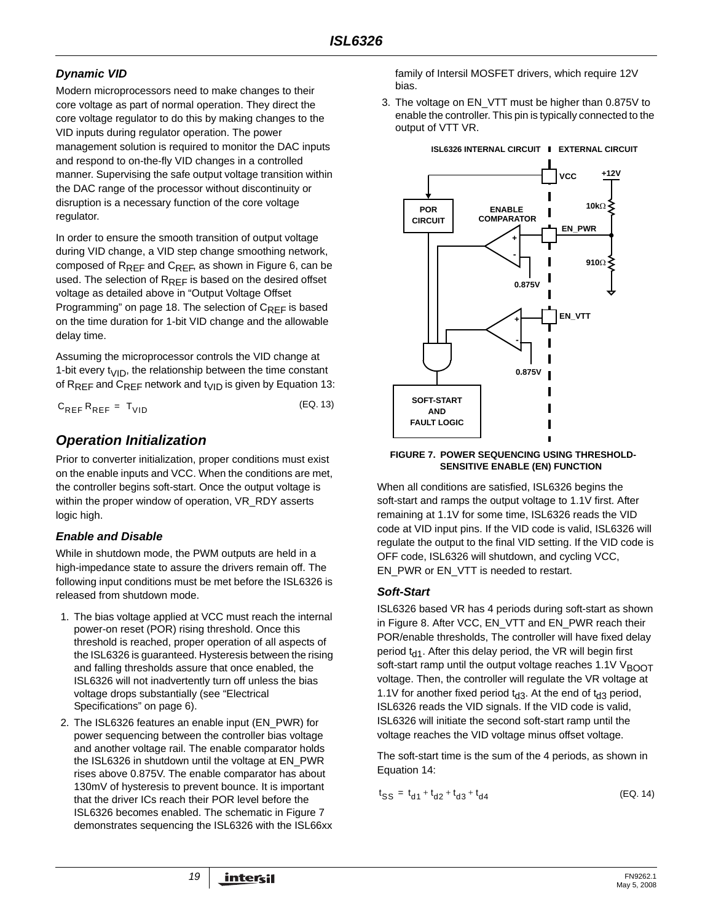# *Dynamic VID*

Modern microprocessors need to make changes to their core voltage as part of normal operation. They direct the core voltage regulator to do this by making changes to the VID inputs during regulator operation. The power management solution is required to monitor the DAC inputs and respond to on-the-fly VID changes in a controlled manner. Supervising the safe output voltage transition within the DAC range of the processor without discontinuity or disruption is a necessary function of the core voltage regulator.

In order to ensure the smooth transition of output voltage during VID change, a VID step change smoothing network, composed of  $R_{REF}$  and  $C_{REF}$ , as shown in Figure 6, can be used. The selection of  $R_{RFF}$  is based on the desired offset voltage as detailed above in ["Output Voltage Offset](#page-17-4)  [Programming" on page 18](#page-17-4). The selection of  $C_{RFF}$  is based on the time duration for 1-bit VID change and the allowable delay time.

Assuming the microprocessor controls the VID change at 1-bit every  $t_{\text{VID}}$ , the relationship between the time constant of R<sub>REF</sub> and C<sub>REF</sub> network and t<sub>VID</sub> is given by Equation [13](#page-18-0):

| (EQ. 13)<br>$C_{REF}R_{REF} = T_{VID}$ |
|----------------------------------------|
|----------------------------------------|

# *Operation Initialization*

Prior to converter initialization, proper conditions must exist on the enable inputs and VCC. When the conditions are met, the controller begins soft-start. Once the output voltage is within the proper window of operation, VR\_RDY asserts logic high.

### *Enable and Disable*

While in shutdown mode, the PWM outputs are held in a high-impedance state to assure the drivers remain off. The following input conditions must be met before the ISL6326 is released from shutdown mode.

- 1. The bias voltage applied at VCC must reach the internal power-on reset (POR) rising threshold. Once this threshold is reached, proper operation of all aspects of the ISL6326 is guaranteed. Hysteresis between the rising and falling thresholds assure that once enabled, the ISL6326 will not inadvertently turn off unless the bias voltage drops substantially (see "Electrical Specifications" on [page 6\)](#page-5-2).
- 2. The ISL6326 features an enable input (EN\_PWR) for power sequencing between the controller bias voltage and another voltage rail. The enable comparator holds the ISL6326 in shutdown until the voltage at EN\_PWR rises above 0.875V. The enable comparator has about 130mV of hysteresis to prevent bounce. It is important that the driver ICs reach their POR level before the ISL6326 becomes enabled. The schematic in Figure 7 demonstrates sequencing the ISL6326 with the ISL66xx

family of Intersil MOSFET drivers, which require 12V bias.

3. The voltage on EN\_VTT must be higher than 0.875V to enable the controller. This pin is typically connected to the output of VTT VR.



#### <span id="page-18-0"></span>**FIGURE 7. POWER SEQUENCING USING THRESHOLD-SENSITIVE ENABLE (EN) FUNCTION**

When all conditions are satisfied, ISL6326 begins the soft-start and ramps the output voltage to 1.1V first. After remaining at 1.1V for some time, ISL6326 reads the VID code at VID input pins. If the VID code is valid, ISL6326 will regulate the output to the final VID setting. If the VID code is OFF code, ISL6326 will shutdown, and cycling VCC, EN\_PWR or EN\_VTT is needed to restart.

### *Soft-Start*

ISL6326 based VR has 4 periods during soft-start as shown in Figure 8. After VCC, EN\_VTT and EN\_PWR reach their POR/enable thresholds, The controller will have fixed delay period  $t_{d1}$ . After this delay period, the VR will begin first soft-start ramp until the output voltage reaches 1.1V  $V<sub>BOOT</sub>$ voltage. Then, the controller will regulate the VR voltage at 1.1V for another fixed period  $t_{d3}$ . At the end of  $t_{d3}$  period, ISL6326 reads the VID signals. If the VID code is valid, ISL6326 will initiate the second soft-start ramp until the voltage reaches the VID voltage minus offset voltage.

The soft-start time is the sum of the 4 periods, as shown in Equation 14:

 $t_{SS} = t_{d1} + t_{d2} + t_{d3} + t_{d4}$  (EQ. 14)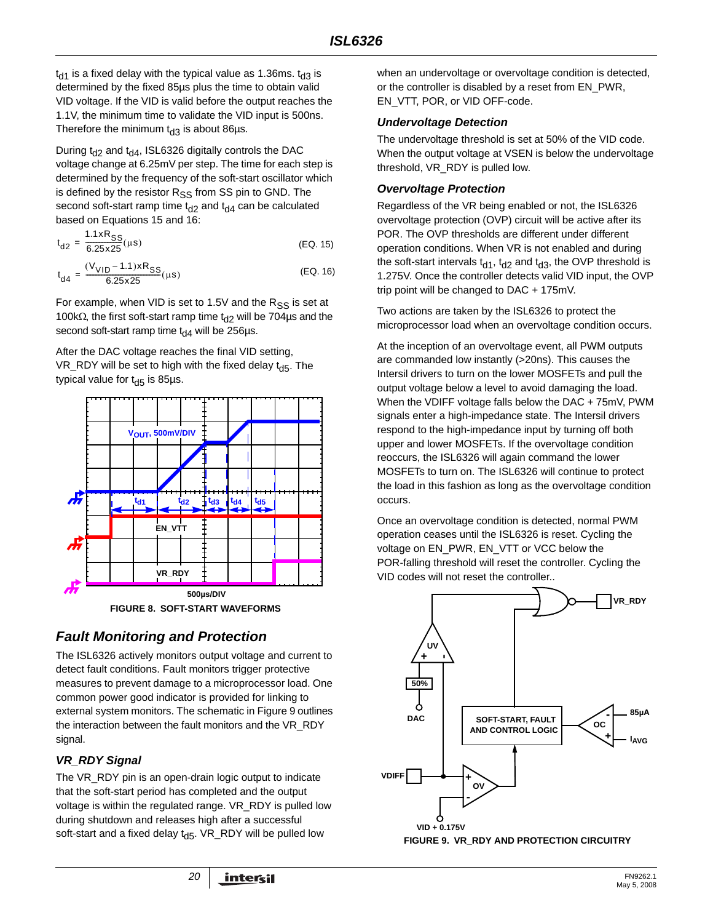$t_{d1}$  is a fixed delay with the typical value as 1.36ms.  $t_{d3}$  is determined by the fixed 85µs plus the time to obtain valid VID voltage. If the VID is valid before the output reaches the 1.1V, the minimum time to validate the VID input is 500ns. Therefore the minimum  $t_{d3}$  is about 86 $\mu$ s.

During  $t_{d2}$  and  $t_{d4}$ , ISL6326 digitally controls the DAC voltage change at 6.25mV per step. The time for each step is determined by the frequency of the soft-start oscillator which is defined by the resistor  $R_{SS}$  from SS pin to GND. The second soft-start ramp time  $t_{d2}$  and  $t_{d4}$  can be calculated based on Equations [15](#page-19-0) and [16:](#page-19-1)

$$
t_{d2} = \frac{1.1 \times R_{SS}}{6.25 \times 25} (\mu s)
$$
 (EQ. 15)

$$
t_{d4} = \frac{(V_{VID} - 1.1) \times R_{SS}}{6.25 \times 25} (\mu s)
$$
 (EQ. 16)

For example, when VID is set to 1.5V and the  $R_{SS}$  is set at 100kΩ, the first soft-start ramp time t<sub>d2</sub> will be 704µs and the second soft-start ramp time  $t_{d4}$  will be 256µs.

After the DAC voltage reaches the final VID setting, VR\_RDY will be set to high with the fixed delay  $t_{d5}$ . The typical value for  $t_{\text{d5}}$  is 85µs.



# *Fault Monitoring and Protection*

The ISL6326 actively monitors output voltage and current to detect fault conditions. Fault monitors trigger protective measures to prevent damage to a microprocessor load. One common power good indicator is provided for linking to external system monitors. The schematic in Figure 9 outlines the interaction between the fault monitors and the VR\_RDY signal.

# *VR\_RDY Signal*

The VR\_RDY pin is an open-drain logic output to indicate that the soft-start period has completed and the output voltage is within the regulated range. VR\_RDY is pulled low during shutdown and releases high after a successful soft-start and a fixed delay  $t_{d5}$ . VR\_RDY will be pulled low

when an undervoltage or overvoltage condition is detected, or the controller is disabled by a reset from EN\_PWR, EN\_VTT, POR, or VID OFF-code.

#### *Undervoltage Detection*

The undervoltage threshold is set at 50% of the VID code. When the output voltage at VSEN is below the undervoltage threshold, VR\_RDY is pulled low.

#### *Overvoltage Protection*

<span id="page-19-0"></span>Regardless of the VR being enabled or not, the ISL6326 overvoltage protection (OVP) circuit will be active after its POR. The OVP thresholds are different under different operation conditions. When VR is not enabled and during the soft-start intervals  $t_{d1}$ ,  $t_{d2}$  and  $t_{d3}$ , the OVP threshold is 1.275V. Once the controller detects valid VID input, the OVP trip point will be changed to DAC + 175mV.

<span id="page-19-1"></span>Two actions are taken by the ISL6326 to protect the microprocessor load when an overvoltage condition occurs.

At the inception of an overvoltage event, all PWM outputs are commanded low instantly (>20ns). This causes the Intersil drivers to turn on the lower MOSFETs and pull the output voltage below a level to avoid damaging the load. When the VDIFF voltage falls below the DAC + 75mV, PWM signals enter a high-impedance state. The Intersil drivers respond to the high-impedance input by turning off both upper and lower MOSFETs. If the overvoltage condition reoccurs, the ISL6326 will again command the lower MOSFETs to turn on. The ISL6326 will continue to protect the load in this fashion as long as the overvoltage condition occurs.

Once an overvoltage condition is detected, normal PWM operation ceases until the ISL6326 is reset. Cycling the voltage on EN\_PWR, EN\_VTT or VCC below the POR-falling threshold will reset the controller. Cycling the VID codes will not reset the controller..

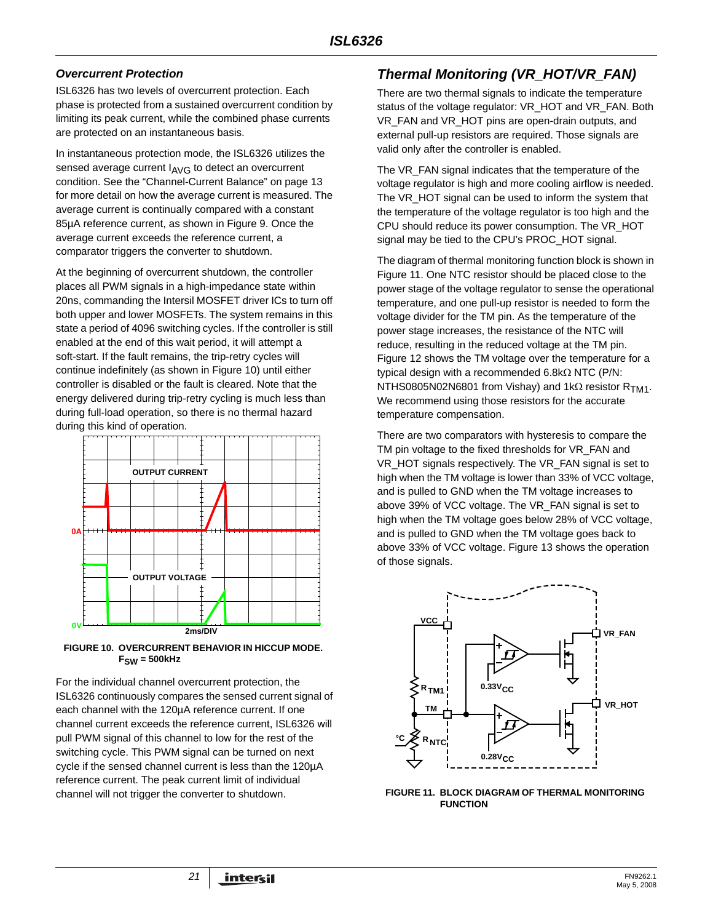#### *Overcurrent Protection*

ISL6326 has two levels of overcurrent protection. Each phase is protected from a sustained overcurrent condition by limiting its peak current, while the combined phase currents are protected on an instantaneous basis.

In instantaneous protection mode, the ISL6326 utilizes the sensed average current  $I_{\text{AVG}}$  to detect an overcurrent condition. See the "Channel-Current Balance" on page 13 for more detail on how the average current is measured. The average current is continually compared with a constant 85µA reference current, as shown in Figure 9. Once the average current exceeds the reference current, a comparator triggers the converter to shutdown.

At the beginning of overcurrent shutdown, the controller places all PWM signals in a high-impedance state within 20ns, commanding the Intersil MOSFET driver ICs to turn off both upper and lower MOSFETs. The system remains in this state a period of 4096 switching cycles. If the controller is still enabled at the end of this wait period, it will attempt a soft-start. If the fault remains, the trip-retry cycles will continue indefinitely (as shown in Figure 10) until either controller is disabled or the fault is cleared. Note that the energy delivered during trip-retry cycling is much less than during full-load operation, so there is no thermal hazard during this kind of operation.



**FIGURE 10. OVERCURRENT BEHAVIOR IN HICCUP MODE. FSW = 500kHz**

For the individual channel overcurrent protection, the ISL6326 continuously compares the sensed current signal of each channel with the 120µA reference current. If one channel current exceeds the reference current, ISL6326 will pull PWM signal of this channel to low for the rest of the switching cycle. This PWM signal can be turned on next cycle if the sensed channel current is less than the 120µA reference current. The peak current limit of individual channel will not trigger the converter to shutdown.

# *Thermal Monitoring (VR\_HOT/VR\_FAN)*

There are two thermal signals to indicate the temperature status of the voltage regulator: VR\_HOT and VR\_FAN. Both VR\_FAN and VR\_HOT pins are open-drain outputs, and external pull-up resistors are required. Those signals are valid only after the controller is enabled.

The VR\_FAN signal indicates that the temperature of the voltage regulator is high and more cooling airflow is needed. The VR\_HOT signal can be used to inform the system that the temperature of the voltage regulator is too high and the CPU should reduce its power consumption. The VR\_HOT signal may be tied to the CPU's PROC\_HOT signal.

The diagram of thermal monitoring function block is shown in Figure 11. One NTC resistor should be placed close to the power stage of the voltage regulator to sense the operational temperature, and one pull-up resistor is needed to form the voltage divider for the TM pin. As the temperature of the power stage increases, the resistance of the NTC will reduce, resulting in the reduced voltage at the TM pin. Figure 12 shows the TM voltage over the temperature for a typical design with a recommended 6.8kΩ NTC (P/N: NTHS0805N02N6801 from Vishay) and 1kΩ resistor  $R_{TM1}$ . We recommend using those resistors for the accurate temperature compensation.

There are two comparators with hysteresis to compare the TM pin voltage to the fixed thresholds for VR\_FAN and VR\_HOT signals respectively. The VR\_FAN signal is set to high when the TM voltage is lower than 33% of VCC voltage, and is pulled to GND when the TM voltage increases to above 39% of VCC voltage. The VR\_FAN signal is set to high when the TM voltage goes below 28% of VCC voltage, and is pulled to GND when the TM voltage goes back to above 33% of VCC voltage. Figure 13 shows the operation of those signals.



**FIGURE 11. BLOCK DIAGRAM OF THERMAL MONITORING FUNCTION**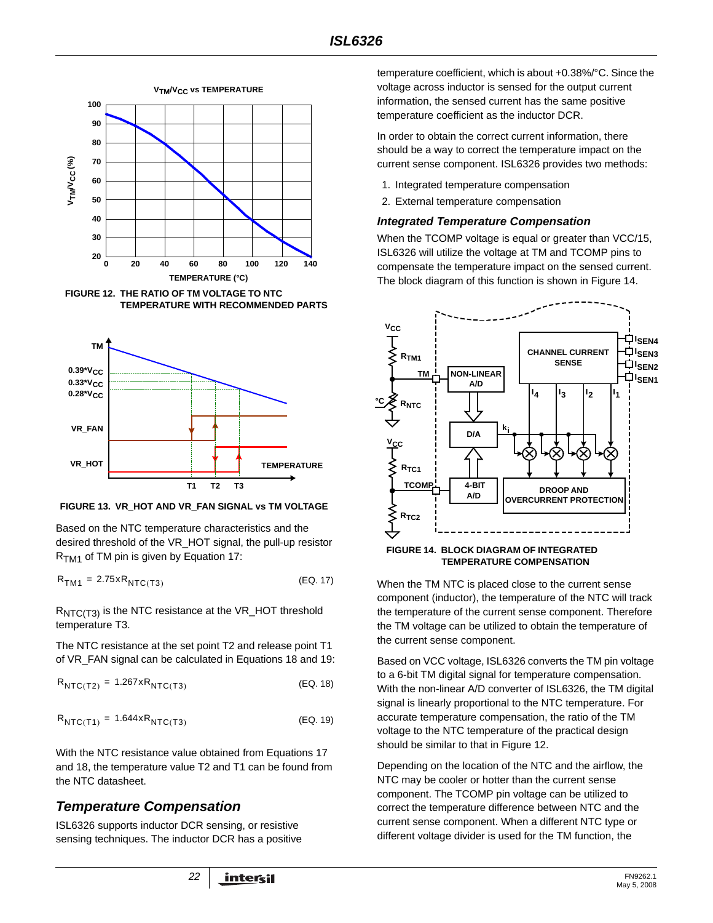

**FIGURE 12. THE RATIO OF TM VOLTAGE TO NTC TEMPERATURE WITH RECOMMENDED PARTS**



**FIGURE 13. VR\_HOT AND VR\_FAN SIGNAL vs TM VOLTAGE**

Based on the NTC temperature characteristics and the desired threshold of the VR\_HOT signal, the pull-up resistor  $R<sub>TM1</sub>$  of TM pin is given by Equation [17:](#page-21-1)

$$
R_{TM1} = 2.75 \times R_{NTC(T3)}
$$
 (EQ. 17)

R<sub>NTC(T3)</sub> is the NTC resistance at the VR\_HOT threshold temperature T3.

The NTC resistance at the set point T2 and release point T1 of VR\_FAN signal can be calculated in Equations 18 and 19:

$$
R_{\text{NIC}(T2)} = 1.267 \times R_{\text{NIC}(T3)} \tag{EQ.18}
$$

$$
R_{NTC(T1)} = 1.644 \times R_{NTC(T3)}
$$
 (EQ. 19)

With the NTC resistance value obtained from Equations [17](#page-21-1)  and 18, the temperature value T2 and T1 can be found from the NTC datasheet.

# <span id="page-21-0"></span>*Temperature Compensation*

ISL6326 supports inductor DCR sensing, or resistive sensing techniques. The inductor DCR has a positive temperature coefficient, which is about +0.38%/°C. Since the voltage across inductor is sensed for the output current information, the sensed current has the same positive temperature coefficient as the inductor DCR.

In order to obtain the correct current information, there should be a way to correct the temperature impact on the current sense component. ISL6326 provides two methods:

- 1. Integrated temperature compensation
- 2. External temperature compensation

#### *Integrated Temperature Compensation*

When the TCOMP voltage is equal or greater than VCC/15, ISL6326 will utilize the voltage at TM and TCOMP pins to compensate the temperature impact on the sensed current. The block diagram of this function is shown in Figure 14.





<span id="page-21-1"></span>When the TM NTC is placed close to the current sense component (inductor), the temperature of the NTC will track the temperature of the current sense component. Therefore the TM voltage can be utilized to obtain the temperature of the current sense component.

Based on VCC voltage, ISL6326 converts the TM pin voltage to a 6-bit TM digital signal for temperature compensation. With the non-linear A/D converter of ISL6326, the TM digital signal is linearly proportional to the NTC temperature. For accurate temperature compensation, the ratio of the TM voltage to the NTC temperature of the practical design should be similar to that in Figure 12.

Depending on the location of the NTC and the airflow, the NTC may be cooler or hotter than the current sense component. The TCOMP pin voltage can be utilized to correct the temperature difference between NTC and the current sense component. When a different NTC type or different voltage divider is used for the TM function, the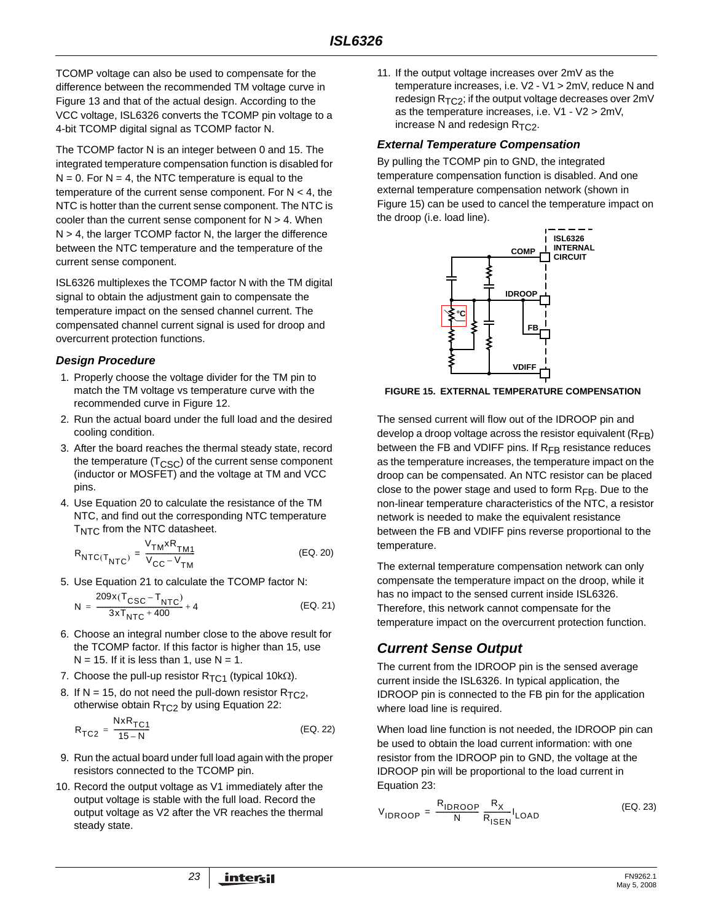TCOMP voltage can also be used to compensate for the difference between the recommended TM voltage curve in Figure 13 and that of the actual design. According to the VCC voltage, ISL6326 converts the TCOMP pin voltage to a 4-bit TCOMP digital signal as TCOMP factor N.

The TCOMP factor N is an integer between 0 and 15. The integrated temperature compensation function is disabled for  $N = 0$ . For  $N = 4$ , the NTC temperature is equal to the temperature of the current sense component. For  $N < 4$ , the NTC is hotter than the current sense component. The NTC is cooler than the current sense component for  $N > 4$ . When  $N > 4$ , the larger TCOMP factor N, the larger the difference between the NTC temperature and the temperature of the current sense component.

ISL6326 multiplexes the TCOMP factor N with the TM digital signal to obtain the adjustment gain to compensate the temperature impact on the sensed channel current. The compensated channel current signal is used for droop and overcurrent protection functions.

#### *Design Procedure*

- 1. Properly choose the voltage divider for the TM pin to match the TM voltage vs temperature curve with the recommended curve in Figure 12.
- 2. Run the actual board under the full load and the desired cooling condition.
- 3. After the board reaches the thermal steady state, record the temperature  $(T<sub>CSC</sub>)$  of the current sense component (inductor or MOSFET) and the voltage at TM and VCC pins.
- 4. Use Equation [20](#page-22-0) to calculate the resistance of the TM NTC, and find out the corresponding NTC temperature T<sub>NTC</sub> from the NTC datasheet.

$$
R_{\text{NTC}}(\mathsf{T}_{\text{NTC}}) = \frac{\mathsf{V}_{\text{TM}} \times \mathsf{R}_{\text{TM1}}}{\mathsf{V}_{\text{CC}} - \mathsf{V}_{\text{TM}}}
$$
(EQ. 20)

5. Use Equation [21](#page-22-1) to calculate the TCOMP factor N:

$$
N = \frac{209 \times (T_{CSC} - T_{NTC})}{3 \times T_{NTC} + 400} + 4
$$
 (EQ. 21)

- 6. Choose an integral number close to the above result for the TCOMP factor. If this factor is higher than 15, use  $N = 15$ . If it is less than 1, use  $N = 1$ .
- 7. Choose the pull-up resistor  $R_{TC1}$  (typical 10k $\Omega$ ).
- 8. If N = 15, do not need the pull-down resistor  $R_{TC2}$ , otherwise obtain  $R_{TC2}$  by using Equation [22](#page-22-2):

$$
R_{TC2} = \frac{NxR_{TC1}}{15 - N}
$$
 (EQ. 22)

- 9. Run the actual board under full load again with the proper resistors connected to the TCOMP pin.
- 10. Record the output voltage as V1 immediately after the output voltage is stable with the full load. Record the output voltage as V2 after the VR reaches the thermal steady state.

11. If the output voltage increases over 2mV as the temperature increases, i.e. V2 - V1 > 2mV, reduce N and redesign  $R_{TC2}$ ; if the output voltage decreases over 2mV as the temperature increases, i.e. V1 - V2 > 2mV, increase N and redesign  $R_{TC2}$ .

#### *External Temperature Compensation*

By pulling the TCOMP pin to GND, the integrated temperature compensation function is disabled. And one external temperature compensation network (shown in Figure 15) can be used to cancel the temperature impact on the droop (i.e. load line).



**FIGURE 15. EXTERNAL TEMPERATURE COMPENSATION**

The sensed current will flow out of the IDROOP pin and develop a droop voltage across the resistor equivalent  $(R_{FB})$ between the FB and VDIFF pins. If  $R_{FB}$  resistance reduces as the temperature increases, the temperature impact on the droop can be compensated. An NTC resistor can be placed close to the power stage and used to form  $R_{FB}$ . Due to the non-linear temperature characteristics of the NTC, a resistor network is needed to make the equivalent resistance between the FB and VDIFF pins reverse proportional to the temperature.

<span id="page-22-1"></span><span id="page-22-0"></span>The external temperature compensation network can only compensate the temperature impact on the droop, while it has no impact to the sensed current inside ISL6326. Therefore, this network cannot compensate for the temperature impact on the overcurrent protection function.

# *Current Sense Output*

The current from the IDROOP pin is the sensed average current inside the ISL6326. In typical application, the IDROOP pin is connected to the FB pin for the application where load line is required.

<span id="page-22-2"></span>When load line function is not needed, the IDROOP pin can be used to obtain the load current information: with one resistor from the IDROOP pin to GND, the voltage at the IDROOP pin will be proportional to the load current in Equation [23:](#page-22-3)

<span id="page-22-3"></span>
$$
V_{\text{IDROOP}} = \frac{R_{\text{IDROOP}}}{N} \frac{R_X}{R_{\text{ISBN}}} I_{\text{LOAD}}
$$
 (EQ. 23)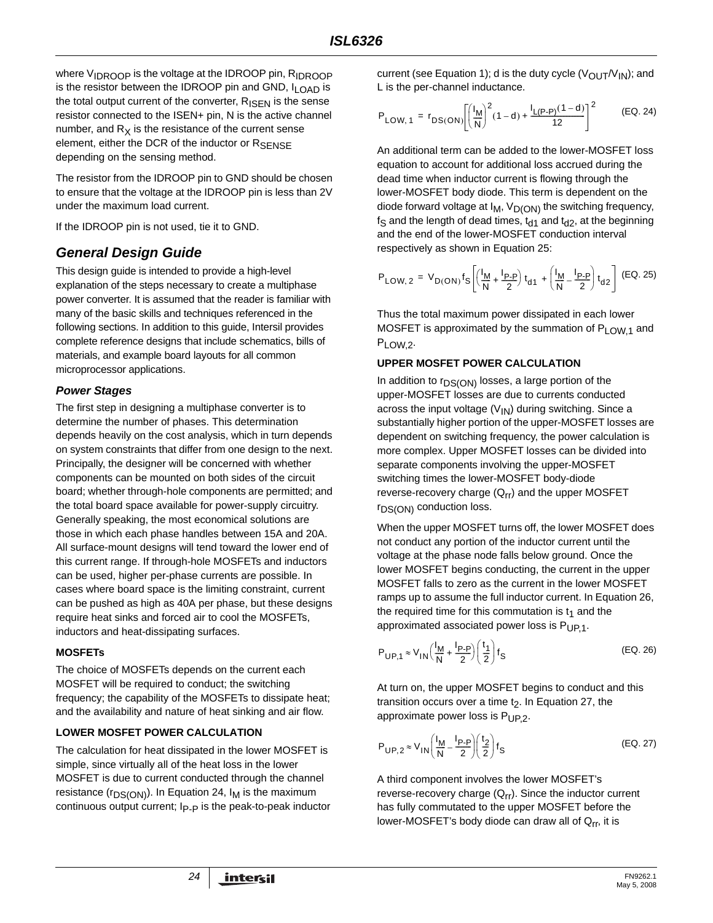where V<sub>IDROOP</sub> is the voltage at the IDROOP pin, R<sub>IDROOP</sub> is the resistor between the IDROOP pin and GND, I<sub>LOAD</sub> is the total output current of the converter,  $R_{\text{ISEN}}$  is the sense resistor connected to the ISEN+ pin, N is the active channel number, and  $R_X$  is the resistance of the current sense element, either the DCR of the inductor or  $R_{\text{SFNSF}}$ depending on the sensing method.

The resistor from the IDROOP pin to GND should be chosen to ensure that the voltage at the IDROOP pin is less than 2V under the maximum load current.

If the IDROOP pin is not used, tie it to GND.

# *General Design Guide*

This design guide is intended to provide a high-level explanation of the steps necessary to create a multiphase power converter. It is assumed that the reader is familiar with many of the basic skills and techniques referenced in the following sections. In addition to this guide, Intersil provides complete reference designs that include schematics, bills of materials, and example board layouts for all common microprocessor applications.

#### *Power Stages*

The first step in designing a multiphase converter is to determine the number of phases. This determination depends heavily on the cost analysis, which in turn depends on system constraints that differ from one design to the next. Principally, the designer will be concerned with whether components can be mounted on both sides of the circuit board; whether through-hole components are permitted; and the total board space available for power-supply circuitry. Generally speaking, the most economical solutions are those in which each phase handles between 15A and 20A. All surface-mount designs will tend toward the lower end of this current range. If through-hole MOSFETs and inductors can be used, higher per-phase currents are possible. In cases where board space is the limiting constraint, current can be pushed as high as 40A per phase, but these designs require heat sinks and forced air to cool the MOSFETs, inductors and heat-dissipating surfaces.

#### **MOSFETs**

The choice of MOSFETs depends on the current each MOSFET will be required to conduct; the switching frequency; the capability of the MOSFETs to dissipate heat; and the availability and nature of heat sinking and air flow.

#### **LOWER MOSFET POWER CALCULATION**

The calculation for heat dissipated in the lower MOSFET is simple, since virtually all of the heat loss in the lower MOSFET is due to current conducted through the channel resistance ( $r_{DS(ON)}$ ). In Equation 24,  $I_M$  is the maximum continuous output current; I<sub>P-P</sub> is the peak-to-peak inductor

current (see Equation 1); d is the duty cycle  $(V_{\text{OUT}}/V_{\text{IN}})$ ; and L is the per-channel inductance.

$$
P_{LOW, 1} = r_{DS(ON)} \left[ \left( \frac{I_M}{N} \right)^2 (1 - d) + \frac{I_{L(P-P)}(1 - d)}{12} \right]^2
$$
 (EQ. 24)

An additional term can be added to the lower-MOSFET loss equation to account for additional loss accrued during the dead time when inductor current is flowing through the lower-MOSFET body diode. This term is dependent on the diode forward voltage at  $I_M$ ,  $V_{D(ON)}$  the switching frequency,  $f_S$  and the length of dead times,  $t_{d1}$  and  $t_{d2}$ , at the beginning and the end of the lower-MOSFET conduction interval respectively as shown in Equation [25:](#page-23-0)

<span id="page-23-0"></span>
$$
P_{LOW, 2} = V_{D(ON)} f_S \left[ \left( \frac{l_M}{N} + \frac{l_{P \cdot P}}{2} \right) t_{d1} + \left( \frac{l_M}{N} - \frac{l_{P \cdot P}}{2} \right) t_{d2} \right] \tag{EQ.25}
$$

Thus the total maximum power dissipated in each lower MOSFET is approximated by the summation of  $P_{LOW,1}$  and P<sub>LOW.2</sub>.

#### **UPPER MOSFET POWER CALCULATION**

In addition to  $r_{DS(ON)}$  losses, a large portion of the upper-MOSFET losses are due to currents conducted across the input voltage  $(V_{\vert N})$  during switching. Since a substantially higher portion of the upper-MOSFET losses are dependent on switching frequency, the power calculation is more complex. Upper MOSFET losses can be divided into separate components involving the upper-MOSFET switching times the lower-MOSFET body-diode reverse-recovery charge  $(Q_{rr})$  and the upper MOSFET rDS(ON) conduction loss.

When the upper MOSFET turns off, the lower MOSFET does not conduct any portion of the inductor current until the voltage at the phase node falls below ground. Once the lower MOSFET begins conducting, the current in the upper MOSFET falls to zero as the current in the lower MOSFET ramps up to assume the full inductor current. In Equation 26, the required time for this commutation is  $t_1$  and the approximated associated power loss is  $P_{UP,1}$ .

$$
P_{\text{UP},1} \approx V_{\text{IN}} \left( \frac{I_{\text{M}}}{N} + \frac{I_{\text{P-P}}}{2} \right) \left( \frac{t_1}{2} \right) f_{\text{S}}
$$
 (EQ. 26)

At turn on, the upper MOSFET begins to conduct and this transition occurs over a time  $t<sub>2</sub>$ . In Equation 27, the approximate power loss is  $P_{UP,2}$ .

$$
P_{\text{UP},2} \approx V_{\text{IN}} \left( \frac{I_{\text{M}}}{N} - \frac{I_{\text{P-P}}}{2} \right) \left( \frac{t_2}{2} \right) f_{\text{S}}
$$
 (EQ. 27)

A third component involves the lower MOSFET's reverse-recovery charge  $(Q_{rr})$ . Since the inductor current has fully commutated to the upper MOSFET before the lower-MOSFET's body diode can draw all of  $Q_{rr}$ , it is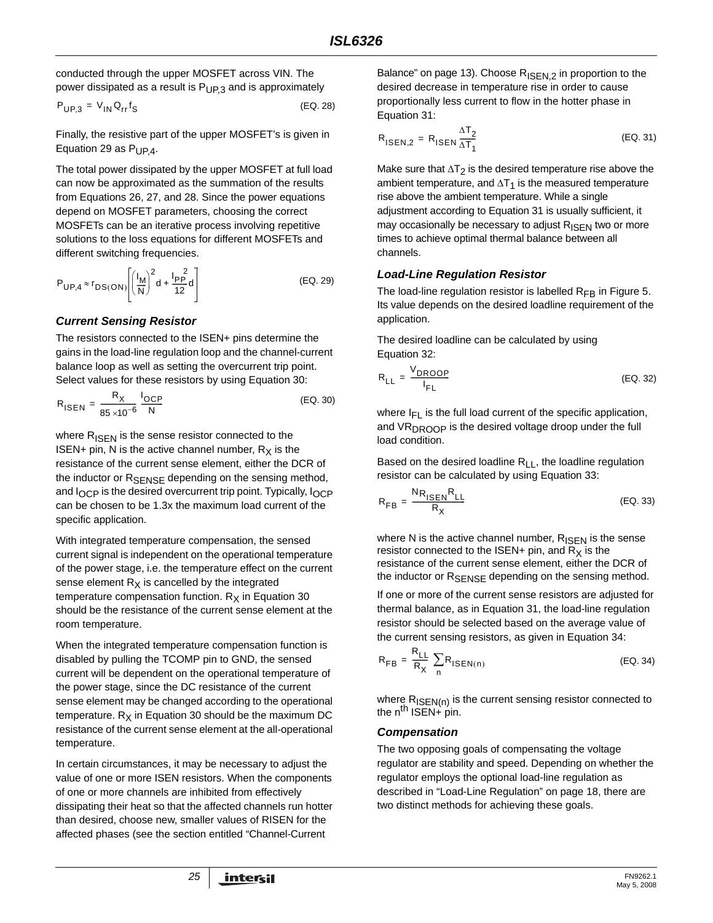conducted through the upper MOSFET across VIN. The power dissipated as a result is  $P_{UP,3}$  and is approximately

$$
P_{UP,3} = V_{IN} Q_{rr} f_S
$$
 (EQ. 28)

Finally, the resistive part of the upper MOSFET's is given in Equation 29 as  $P_{UP,4}$ .

The total power dissipated by the upper MOSFET at full load can now be approximated as the summation of the results from Equations 26, 27, and 28. Since the power equations depend on MOSFET parameters, choosing the correct MOSFETs can be an iterative process involving repetitive solutions to the loss equations for different MOSFETs and different switching frequencies.

$$
P_{\text{UP},4} \approx r_{\text{DS}(\text{ON})} \left[ \left( \frac{I_{\text{M}}}{N} \right)^2 d + \frac{I_{\text{PP}}^2}{12} d \right]
$$
 (EQ. 29)

### *Current Sensing Resistor*

The resistors connected to the ISEN+ pins determine the gains in the load-line regulation loop and the channel-current balance loop as well as setting the overcurrent trip point. Select values for these resistors by using Equation 30:

$$
R_{\text{ISEN}} = \frac{R_X}{85 \times 10^{-6}} \frac{I_{\text{OCP}}}{N}
$$
 (EQ. 30)

where  $R_{\text{ISEN}}$  is the sense resistor connected to the ISEN+ pin, N is the active channel number,  $R_X$  is the resistance of the current sense element, either the DCR of the inductor or R<sub>SENSE</sub> depending on the sensing method, and  $I_{\text{OCP}}$  is the desired overcurrent trip point. Typically,  $I_{\text{OCP}}$ can be chosen to be 1.3x the maximum load current of the specific application.

With integrated temperature compensation, the sensed current signal is independent on the operational temperature of the power stage, i.e. the temperature effect on the current sense element  $R_X$  is cancelled by the integrated temperature compensation function.  $R_X$  in Equation 30 should be the resistance of the current sense element at the room temperature.

When the integrated temperature compensation function is disabled by pulling the TCOMP pin to GND, the sensed current will be dependent on the operational temperature of the power stage, since the DC resistance of the current sense element may be changed according to the operational temperature.  $R_X$  in Equation 30 should be the maximum DC resistance of the current sense element at the all-operational temperature.

In certain circumstances, it may be necessary to adjust the value of one or more ISEN resistors. When the components of one or more channels are inhibited from effectively dissipating their heat so that the affected channels run hotter than desired, choose new, smaller values of RISEN for the affected phases (see the section entitled "Channel-Current

Balance" on page 13). Choose  $R_{\text{ISEN},2}$  in proportion to the desired decrease in temperature rise in order to cause proportionally less current to flow in the hotter phase in Equation 31:

$$
R_{\text{ISEN},2} = R_{\text{ISEN}} \frac{\Delta T_2}{\Delta T_1}
$$
 (EQ. 31)

Make sure that  $\Delta T_2$  is the desired temperature rise above the ambient temperature, and  $\Delta T_1$  is the measured temperature rise above the ambient temperature. While a single adjustment according to Equation 31 is usually sufficient, it may occasionally be necessary to adjust R<sub>ISEN</sub> two or more times to achieve optimal thermal balance between all channels.

#### *Load-Line Regulation Resistor*

The load-line regulation resistor is labelled  $R_{FR}$  in Figure 5. Its value depends on the desired loadline requirement of the application.

The desired loadline can be calculated by using Equation 32:

$$
R_{LL} = \frac{V_{DROOP}}{I_{FL}}
$$
 (EQ. 32)

where  $I_{FI}$  is the full load current of the specific application, and VR<sub>DROOP</sub> is the desired voltage droop under the full load condition.

Based on the desired loadline  $R_{LL}$ , the loadline regulation resistor can be calculated by using Equation [33](#page-24-0):

<span id="page-24-0"></span>
$$
R_{FB} = \frac{N R_{ISEN} R_{LL}}{R_X}
$$
 (EQ. 33)

where N is the active channel number,  $R_{\text{ISEN}}$  is the sense resistor connected to the ISEN+ pin, and  $R_X$  is the resistance of the current sense element, either the DCR of the inductor or R<sub>SENSE</sub> depending on the sensing method.

If one or more of the current sense resistors are adjusted for thermal balance, as in Equation 31, the load-line regulation resistor should be selected based on the average value of the current sensing resistors, as given in Equation 34:

$$
R_{FB} = \frac{R_{LL}}{R_X} \sum_{n} R_{\text{ISEN}(n)} \tag{EQ.34}
$$

where  $R_{\text{ISEN(n)}}$  is the current sensing resistor connected to the  $n^{th}$  ISEN+ pin.

#### *Compensation*

The two opposing goals of compensating the voltage regulator are stability and speed. Depending on whether the regulator employs the optional load-line regulation as described in ["Load-Line Regulation" on page 18,](#page-17-5) there are two distinct methods for achieving these goals.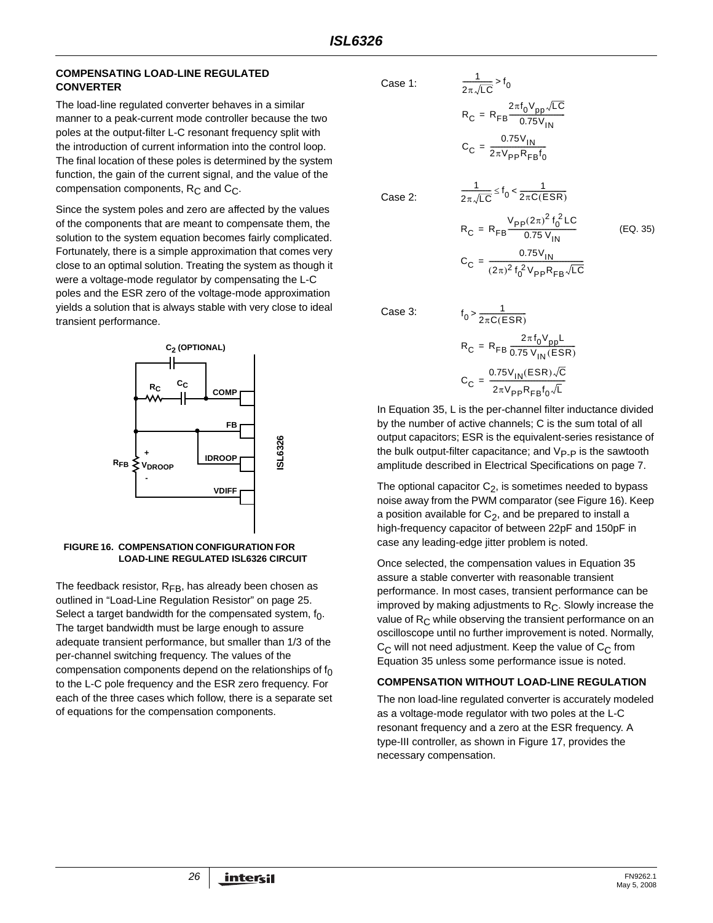#### **COMPENSATING LOAD-LINE REGULATED CONVERTER**

The load-line regulated converter behaves in a similar manner to a peak-current mode controller because the two poles at the output-filter L-C resonant frequency split with the introduction of current information into the control loop. The final location of these poles is determined by the system function, the gain of the current signal, and the value of the compensation components,  $R_C$  and  $C_C$ .

Since the system poles and zero are affected by the values of the components that are meant to compensate them, the solution to the system equation becomes fairly complicated. Fortunately, there is a simple approximation that comes very close to an optimal solution. Treating the system as though it were a voltage-mode regulator by compensating the L-C poles and the ESR zero of the voltage-mode approximation yields a solution that is always stable with very close to ideal transient performance.



# <span id="page-25-0"></span>**FIGURE 16. COMPENSATION CONFIGURATION FOR**

The feedback resistor,  $R_{FB}$ , has already been chosen as outlined in "Load-Line Regulation Resistor" on page 25. Select a target bandwidth for the compensated system,  $f_0$ . The target bandwidth must be large enough to assure adequate transient performance, but smaller than 1/3 of the per-channel switching frequency. The values of the compensation components depend on the relationships of  $f_0$ to the L-C pole frequency and the ESR zero frequency. For each of the three cases which follow, there is a separate set of equations for the compensation components.

Case 1:

$$
\frac{1}{2\pi\sqrt{LC}} > f_0
$$
  
R<sub>C</sub> = R<sub>FB</sub>
$$
\frac{2\pi f_0 V_{pp} \sqrt{LC}}{0.75 V_{IN}}
$$
  
C<sub>C</sub> = 
$$
\frac{0.75 V_{IN}}{2\pi V_{pp} R_{FB} f_0}
$$

 $\frac{1}{2\pi\sqrt{LC}} \leq f_0 < \frac{1}{2\pi C(E)}$ 

 $\leq f_0 < \frac{1}{2\pi C (ESR)}$ 

1

Case 2:

 $R_C = R_{FB} \frac{V_{PP}(2\pi)^2 f_0^2 LC}{0.75 V_{\odot}}$  $= R_{FB} \frac{P P^{(1)} \cdot 0}{0.75 V_{IN}}$  $C_C = \frac{0.75V_{IN}}{(2-1)^2t^2V_{IN}}$ =  $\frac{1}{(2\pi)^2 f_0^2 V_{PP} R_{FB} \sqrt{LC}}$ (EQ. 35)

Case 3:

$$
t_0 > \frac{1}{2\pi C(ESR)}
$$
  
\n
$$
R_C = R_{FB} \frac{2\pi f_0 V_{pp}L}{0.75 V_{IN}(ESR)}
$$
  
\n
$$
C_C = \frac{0.75 V_{IN}(ESR)\sqrt{C}}{2\pi V_{pp}R_{FB}f_0\sqrt{L}}
$$

In Equation 35, L is the per-channel filter inductance divided by the number of active channels; C is the sum total of all output capacitors; ESR is the equivalent-series resistance of the bulk output-filter capacitance; and  $V_{\text{P}-\text{P}}$  is the sawtooth amplitude described in Electrical Specifications on [page 7.](#page-6-0)

The optional capacitor  $C_2$ , is sometimes needed to bypass noise away from the PWM comparator (see Figure [16](#page-25-0)). Keep a position available for  $C_2$ , and be prepared to install a high-frequency capacitor of between 22pF and 150pF in case any leading-edge jitter problem is noted.

Once selected, the compensation values in Equation 35 assure a stable converter with reasonable transient performance. In most cases, transient performance can be improved by making adjustments to  $R<sub>C</sub>$ . Slowly increase the value of  $R<sub>C</sub>$  while observing the transient performance on an oscilloscope until no further improvement is noted. Normally,  $C_{C}$  will not need adjustment. Keep the value of  $C_{C}$  from Equation 35 unless some performance issue is noted.

#### **COMPENSATION WITHOUT LOAD-LINE REGULATION**

The non load-line regulated converter is accurately modeled as a voltage-mode regulator with two poles at the L-C resonant frequency and a zero at the ESR frequency. A type-III controller, as shown in Figure 17, provides the necessary compensation.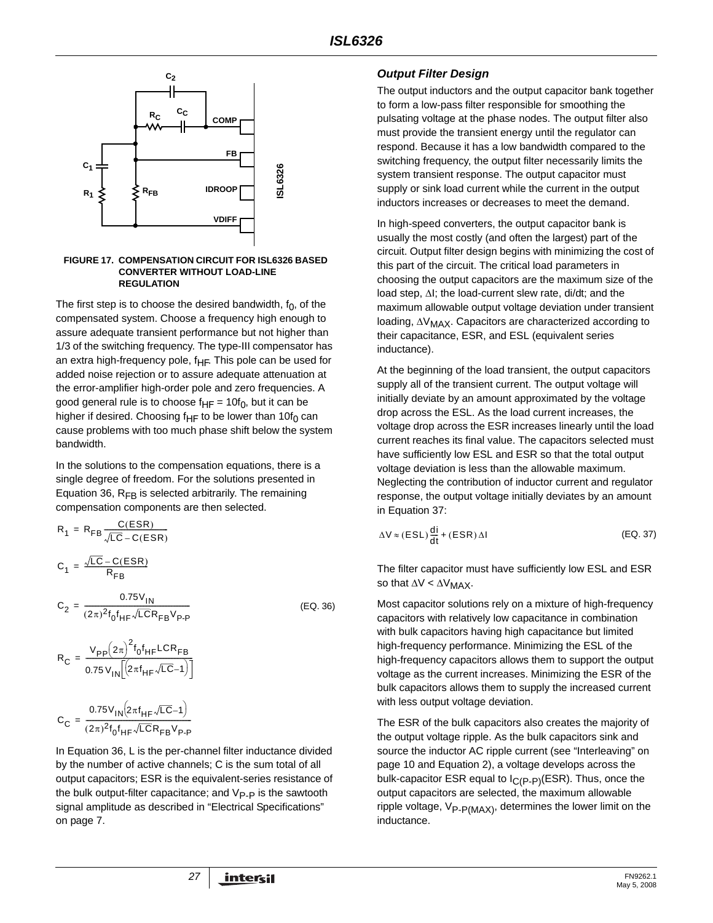

#### **FIGURE 17. COMPENSATION CIRCUIT FOR ISL6326 BASED CONVERTER WITHOUT LOAD-LINE REGULATION**

The first step is to choose the desired bandwidth,  $f_0$ , of the compensated system. Choose a frequency high enough to assure adequate transient performance but not higher than 1/3 of the switching frequency. The type-III compensator has an extra high-frequency pole,  $f_{HF}$ . This pole can be used for added noise rejection or to assure adequate attenuation at the error-amplifier high-order pole and zero frequencies. A good general rule is to choose  $f_{HF} = 10f_0$ , but it can be higher if desired. Choosing  $f_{HF}$  to be lower than 10f<sub>0</sub> can cause problems with too much phase shift below the system bandwidth.

In the solutions to the compensation equations, there is a single degree of freedom. For the solutions presented in Equation 36,  $R_{FB}$  is selected arbitrarily. The remaining compensation components are then selected.

$$
R_1 = R_{FB} \frac{C(ESR)}{\sqrt{LC} - C(ESR)}
$$

$$
C_1 = \frac{\sqrt{LC} - C(ESR)}{R_{FB}}
$$

$$
C_0 = \frac{0.75V_{IN}}{}
$$

$$
C_2 = \frac{0.75 \text{ V} \cdot N}{(2\pi)^2 f_0 f_{HF} \sqrt{LC} R_{FB} V_{P-P}}
$$
(EQ. 36)

$$
R_C = \frac{V_{PP}(2\pi)^2 f_0 f_{HF} LCR_{FB}}{0.75 V_{IN} \left[ \left( 2\pi f_{HF} \sqrt{LC} - 1 \right) \right]}
$$

$$
C_C = \frac{0.75V_{IN}\left(2\pi f_{HF}\sqrt{LC}-1\right)}{(2\pi)^2 f_0 f_{HF}\sqrt{LC}R_{FB}V_{P-P}}
$$

In Equation 36, L is the per-channel filter inductance divided by the number of active channels; C is the sum total of all output capacitors; ESR is the equivalent-series resistance of the bulk output-filter capacitance; and  $V_{\text{P-P}}$  is the sawtooth signal amplitude as described in "Electrical Specifications" on [page 7.](#page-6-0)

#### *Output Filter Design*

The output inductors and the output capacitor bank together to form a low-pass filter responsible for smoothing the pulsating voltage at the phase nodes. The output filter also must provide the transient energy until the regulator can respond. Because it has a low bandwidth compared to the switching frequency, the output filter necessarily limits the system transient response. The output capacitor must supply or sink load current while the current in the output inductors increases or decreases to meet the demand.

In high-speed converters, the output capacitor bank is usually the most costly (and often the largest) part of the circuit. Output filter design begins with minimizing the cost of this part of the circuit. The critical load parameters in choosing the output capacitors are the maximum size of the load step, ΔI; the load-current slew rate, di/dt; and the maximum allowable output voltage deviation under transient loading, ΔV<sub>MAX</sub>. Capacitors are characterized according to their capacitance, ESR, and ESL (equivalent series inductance).

At the beginning of the load transient, the output capacitors supply all of the transient current. The output voltage will initially deviate by an amount approximated by the voltage drop across the ESL. As the load current increases, the voltage drop across the ESR increases linearly until the load current reaches its final value. The capacitors selected must have sufficiently low ESL and ESR so that the total output voltage deviation is less than the allowable maximum. Neglecting the contribution of inductor current and regulator response, the output voltage initially deviates by an amount in Equation [37](#page-26-0):

<span id="page-26-0"></span>
$$
\Delta V \approx (ESL) \frac{di}{dt} + (ESR) \Delta I
$$
 (EQ. 37)

The filter capacitor must have sufficiently low ESL and ESR so that  $\Delta V < \Delta V_{MAX}$ .

Most capacitor solutions rely on a mixture of high-frequency capacitors with relatively low capacitance in combination with bulk capacitors having high capacitance but limited high-frequency performance. Minimizing the ESL of the high-frequency capacitors allows them to support the output voltage as the current increases. Minimizing the ESR of the bulk capacitors allows them to supply the increased current with less output voltage deviation.

The ESR of the bulk capacitors also creates the majority of the output voltage ripple. As the bulk capacitors sink and source the inductor AC ripple current (see "Interleaving" on page 10 and Equation 2), a voltage develops across the bulk-capacitor ESR equal to  $I_{C(P-P)}(ESR)$ . Thus, once the output capacitors are selected, the maximum allowable ripple voltage,  $V_{P-P(MAX)}$ , determines the lower limit on the inductance.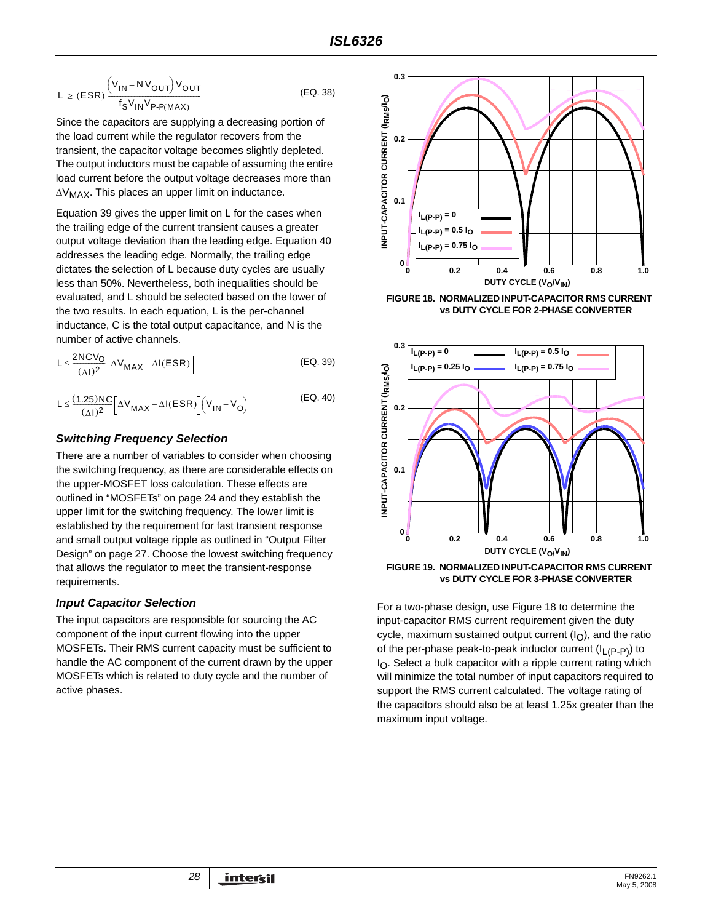$$
L \geq (ESR) \frac{\left(V_{1N} - NV_{OUT}\right)V_{OUT}}{f_S V_{1N} V_{P-P(MAX)}} \tag{EQ.38}
$$

Since the capacitors are supplying a decreasing portion of the load current while the regulator recovers from the transient, the capacitor voltage becomes slightly depleted. The output inductors must be capable of assuming the entire load current before the output voltage decreases more than ΔVMAX. This places an upper limit on inductance.

Equation 39 gives the upper limit on L for the cases when the trailing edge of the current transient causes a greater output voltage deviation than the leading edge. Equation 40 addresses the leading edge. Normally, the trailing edge dictates the selection of L because duty cycles are usually less than 50%. Nevertheless, both inequalities should be evaluated, and L should be selected based on the lower of the two results. In each equation, L is the per-channel inductance, C is the total output capacitance, and N is the number of active channels.

$$
L \leq \frac{2NCV_O}{(\Delta I)^2} \left[ \Delta V_{MAX} - \Delta I (ESR) \right]
$$
 (EQ. 39)

$$
L \leq \frac{(1.25)NC}{(\Delta I)^2} \Big[ \Delta V_{MAX} - \Delta I(ESR) \Big] \Big( V_{IN} - V_O \Big)
$$
 (EQ. 40)

#### *Switching Frequency Selection*

There are a number of variables to consider when choosing the switching frequency, as there are considerable effects on the upper-MOSFET loss calculation. These effects are outlined in "MOSFETs" on page 24 and they establish the upper limit for the switching frequency. The lower limit is established by the requirement for fast transient response and small output voltage ripple as outlined in "Output Filter Design" on page 27. Choose the lowest switching frequency that allows the regulator to meet the transient-response requirements.

#### *Input Capacitor Selection*

The input capacitors are responsible for sourcing the AC component of the input current flowing into the upper MOSFETs. Their RMS current capacity must be sufficient to handle the AC component of the current drawn by the upper MOSFETs which is related to duty cycle and the number of active phases.



**FIGURE 18. NORMALIZED INPUT-CAPACITOR RMS CURRENT vs DUTY CYCLE FOR 2-PHASE CONVERTER**



**vs DUTY CYCLE FOR 3-PHASE CONVERTER**

For a two-phase design, use Figure 18 to determine the input-capacitor RMS current requirement given the duty cycle, maximum sustained output current  $(I<sub>O</sub>)$ , and the ratio of the per-phase peak-to-peak inductor current  $(I_1(p-p_1))$  to  $I_{\Omega}$ . Select a bulk capacitor with a ripple current rating which will minimize the total number of input capacitors required to support the RMS current calculated. The voltage rating of the capacitors should also be at least 1.25x greater than the maximum input voltage.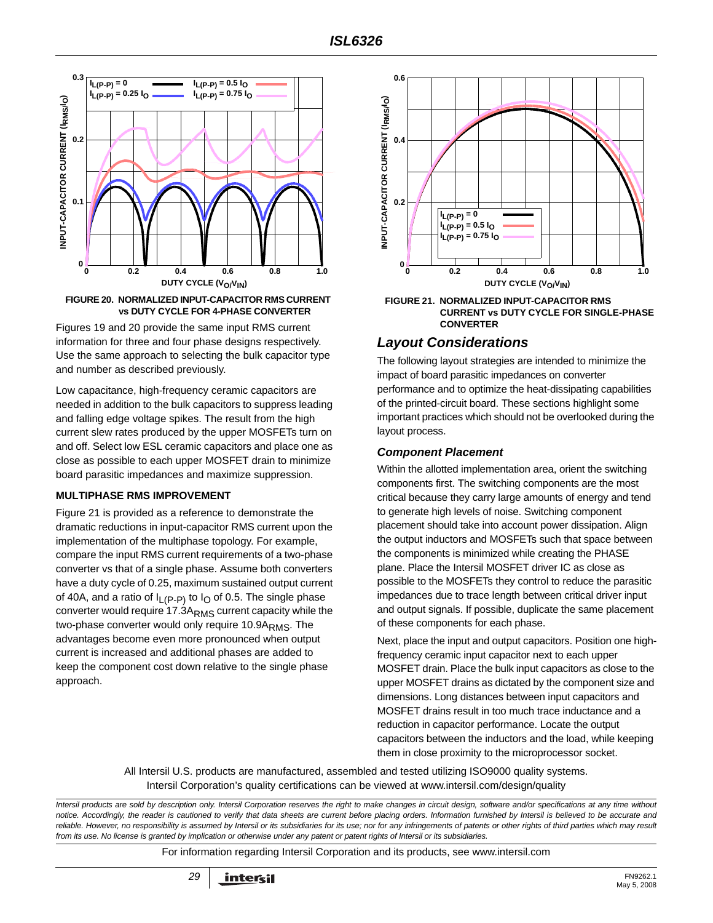

Figures 19 and 20 provide the same input RMS current **vs DUTY CYCLE FOR 4-PHASE CONVERTER**

information for three and four phase designs respectively. Use the same approach to selecting the bulk capacitor type and number as described previously.

Low capacitance, high-frequency ceramic capacitors are needed in addition to the bulk capacitors to suppress leading and falling edge voltage spikes. The result from the high current slew rates produced by the upper MOSFETs turn on and off. Select low ESL ceramic capacitors and place one as close as possible to each upper MOSFET drain to minimize board parasitic impedances and maximize suppression.

#### **MULTIPHASE RMS IMPROVEMENT**

Figure 21 is provided as a reference to demonstrate the dramatic reductions in input-capacitor RMS current upon the implementation of the multiphase topology. For example, compare the input RMS current requirements of a two-phase converter vs that of a single phase. Assume both converters have a duty cycle of 0.25, maximum sustained output current of 40A, and a ratio of  $I_{L(P-P)}$  to  $I_{O}$  of 0.5. The single phase converter would require  $17.3A<sub>RMS</sub>$  current capacity while the two-phase converter would only require 10.9ARMS. The advantages become even more pronounced when output current is increased and additional phases are added to keep the component cost down relative to the single phase approach.



**FIGURE 21. NORMALIZED INPUT-CAPACITOR RMS CURRENT vs DUTY CYCLE FOR SINGLE-PHASE CONVERTER**

#### *Layout Considerations*

The following layout strategies are intended to minimize the impact of board parasitic impedances on converter performance and to optimize the heat-dissipating capabilities of the printed-circuit board. These sections highlight some important practices which should not be overlooked during the layout process.

#### *Component Placement*

Within the allotted implementation area, orient the switching components first. The switching components are the most critical because they carry large amounts of energy and tend to generate high levels of noise. Switching component placement should take into account power dissipation. Align the output inductors and MOSFETs such that space between the components is minimized while creating the PHASE plane. Place the Intersil MOSFET driver IC as close as possible to the MOSFETs they control to reduce the parasitic impedances due to trace length between critical driver input and output signals. If possible, duplicate the same placement of these components for each phase.

Next, place the input and output capacitors. Position one highfrequency ceramic input capacitor next to each upper MOSFET drain. Place the bulk input capacitors as close to the upper MOSFET drains as dictated by the component size and dimensions. Long distances between input capacitors and MOSFET drains result in too much trace inductance and a reduction in capacitor performance. Locate the output capacitors between the inductors and the load, while keeping them in close proximity to the microprocessor socket.

All Intersil U.S. products are manufactured, assembled and tested utilizing ISO9000 quality systems. Intersil Corporation's quality certifications can be viewed at www.intersil.com/design/quality

*Intersil products are sold by description only. Intersil Corporation reserves the right to make changes in circuit design, software and/or specifications at any time without notice. Accordingly, the reader is cautioned to verify that data sheets are current before placing orders. Information furnished by Intersil is believed to be accurate and* reliable. However, no responsibility is assumed by Intersil or its subsidiaries for its use; nor for any infringements of patents or other rights of third parties which may result *from its use. No license is granted by implication or otherwise under any patent or patent rights of Intersil or its subsidiaries.*

For information regarding Intersil Corporation and its products, see www.intersil.com